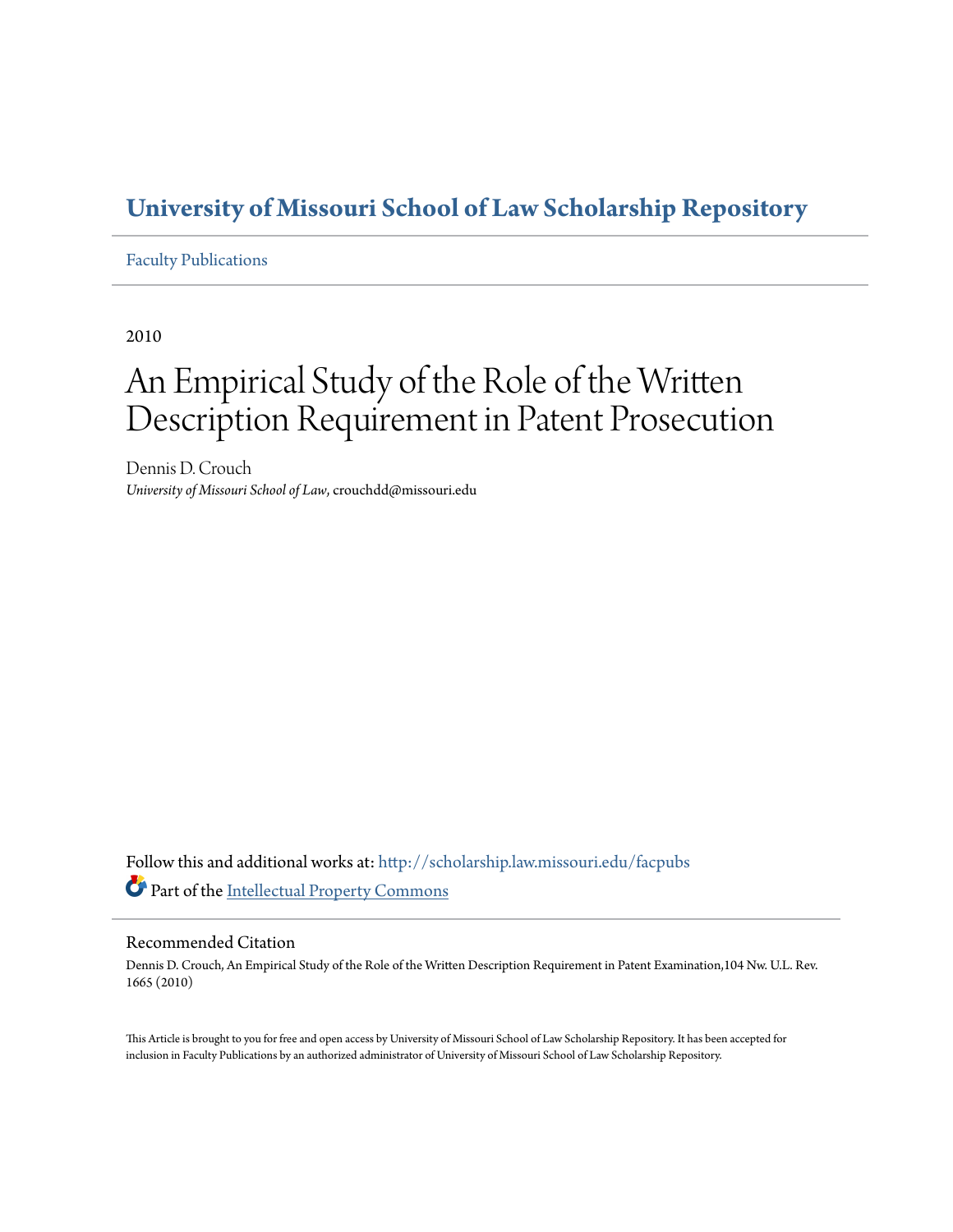# **[University of Missouri School of Law Scholarship Repository](http://scholarship.law.missouri.edu?utm_source=scholarship.law.missouri.edu%2Ffacpubs%2F509&utm_medium=PDF&utm_campaign=PDFCoverPages)**

#### [Faculty Publications](http://scholarship.law.missouri.edu/facpubs?utm_source=scholarship.law.missouri.edu%2Ffacpubs%2F509&utm_medium=PDF&utm_campaign=PDFCoverPages)

2010

# An Empirical Study of the Role of the Written Description Requirement in Patent Prosecution

Dennis D. Crouch *University of Missouri School of Law*, crouchdd@missouri.edu

Follow this and additional works at: [http://scholarship.law.missouri.edu/facpubs](http://scholarship.law.missouri.edu/facpubs?utm_source=scholarship.law.missouri.edu%2Ffacpubs%2F509&utm_medium=PDF&utm_campaign=PDFCoverPages) Part of the [Intellectual Property Commons](http://network.bepress.com/hgg/discipline/896?utm_source=scholarship.law.missouri.edu%2Ffacpubs%2F509&utm_medium=PDF&utm_campaign=PDFCoverPages)

#### Recommended Citation

Dennis D. Crouch, An Empirical Study of the Role of the Written Description Requirement in Patent Examination,104 Nw. U.L. Rev. 1665 (2010)

This Article is brought to you for free and open access by University of Missouri School of Law Scholarship Repository. It has been accepted for inclusion in Faculty Publications by an authorized administrator of University of Missouri School of Law Scholarship Repository.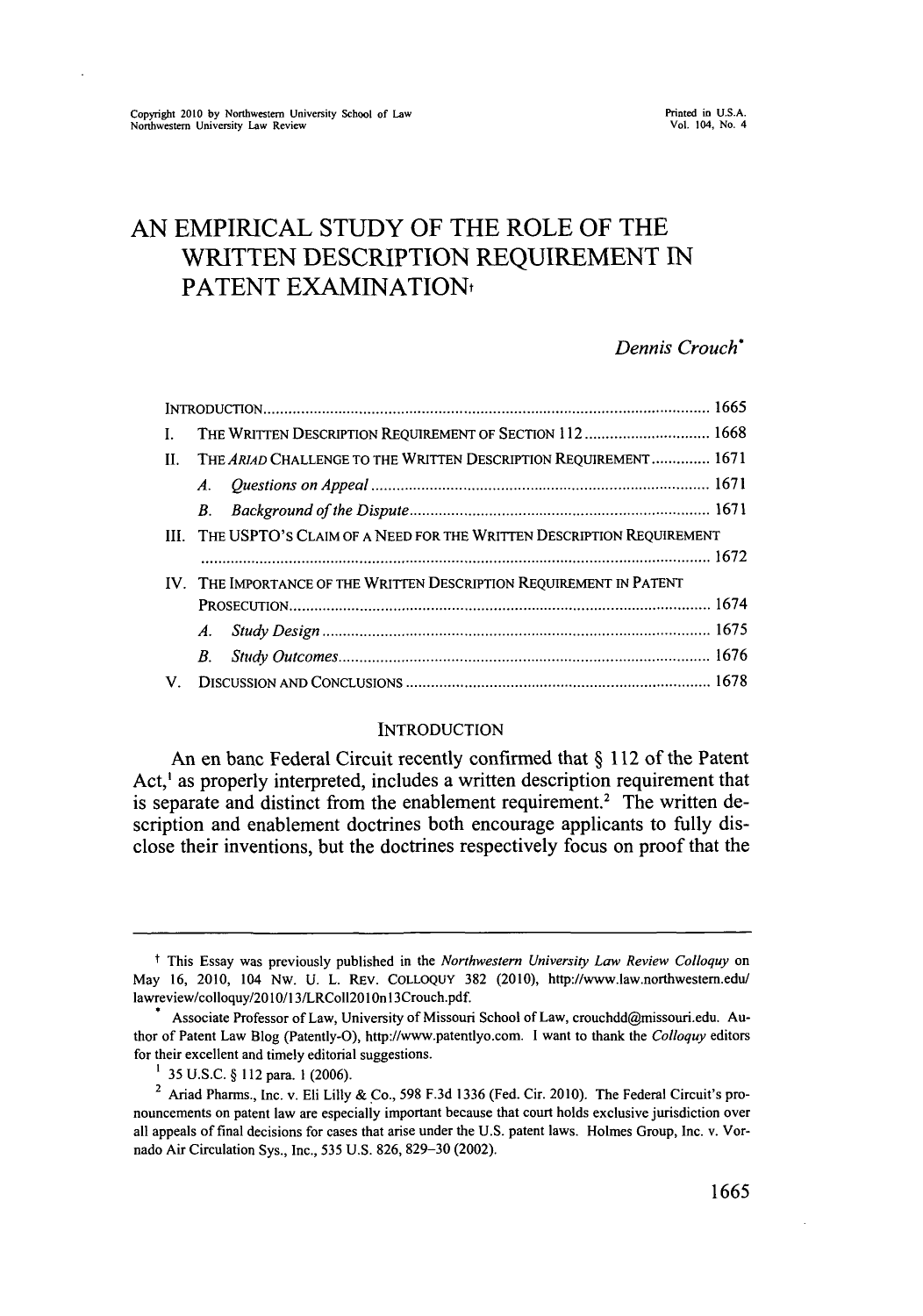## **AN** EMPIRICAL **STUDY** OF THE ROLE OF THE WRITTEN **DESCRIPTION REQUIREMENT IN PATENT** EXAMINATIONt

#### *Dennis Crouch\**

| L  |                                                                 | THE WRITTEN DESCRIPTION REOUIREMENT OF SECTION 112  1668                 |  |  |  |
|----|-----------------------------------------------------------------|--------------------------------------------------------------------------|--|--|--|
| H. | THE ARIAD CHALLENGE TO THE WRITTEN DESCRIPTION REQUIREMENT 1671 |                                                                          |  |  |  |
|    | A.                                                              |                                                                          |  |  |  |
|    | <b>B</b> .                                                      |                                                                          |  |  |  |
|    |                                                                 | III. THE USPTO'S CLAIM OF A NEED FOR THE WRITTEN DESCRIPTION REQUIREMENT |  |  |  |
|    |                                                                 |                                                                          |  |  |  |
|    |                                                                 | IV. THE IMPORTANCE OF THE WRITTEN DESCRIPTION REQUIREMENT IN PATENT      |  |  |  |
|    |                                                                 |                                                                          |  |  |  |
|    | $A_{-}$                                                         |                                                                          |  |  |  |
|    | В.                                                              |                                                                          |  |  |  |
| V. |                                                                 |                                                                          |  |  |  |

#### **INTRODUCTION**

An en bane Federal Circuit recently confirmed that **§** 112 of the Patent Act,' as properly interpreted, includes a written description requirement that is separate and distinct from the enablement requirement.<sup>2</sup> The written description and enablement doctrines both encourage applicants to **fully** disclose their inventions, but the doctrines respectively focus on proof that the

t This Essay was previously published in the *Northwestern University Law Review Colloquy on* May **16,** 2010, 104 Nw. **U.** L. REV. **COLLOQUY 382** (2010), http://www.law.northwestem.edu/ lawreview/colloquy/2010/13/LRCoIl201On13Crouch.pdf.

Associate Professor of Law, University of Missouri School of Law, crouchdd@missouri.edu. Author of Patent Law Blog (Patently-O), http://www.patentlyo.com. **I** want to thank the *Colloquy* editors for their excellent and timely editorial suggestions.

**<sup>1 35</sup> U.S.C.** *§* 112 para. **1 (2006).**

<sup>2</sup> Ariad Pharms., Inc. v. Eli Lilly **&** Co., **598 F.3d 1336** (Fed. Cir. **2010).** The Federal Circuit's pronouncements on patent law are especially important because that court holds exclusive jurisdiction over all appeals of final decisions for cases that arise under the **U.S.** patent laws. Holmes Group, Inc. v. Vornado Air Circulation Sys., Inc., **535 U.S. 826, 829-30** (2002).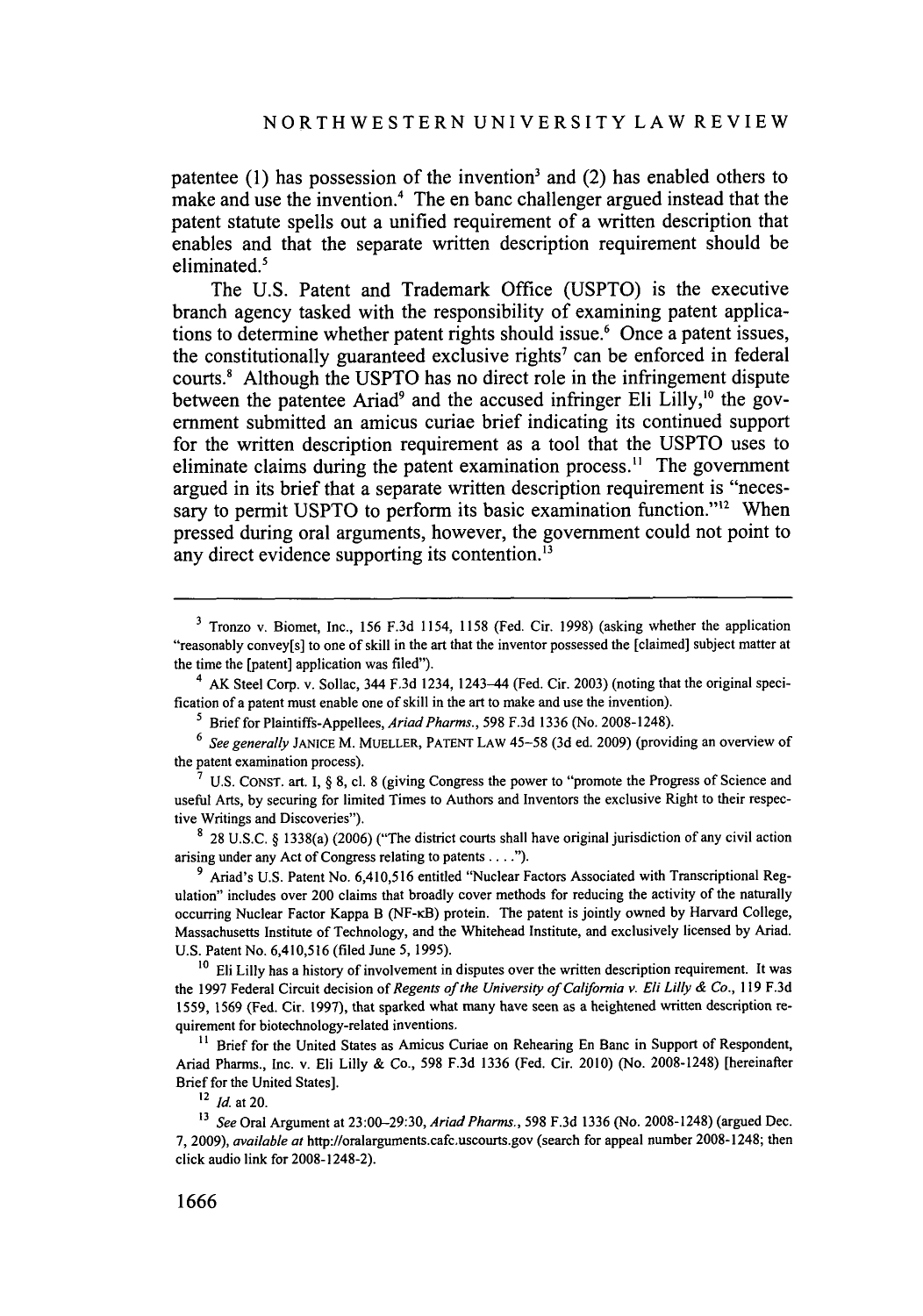patentee **(1)** has possession of the invention' and (2) has enabled others to make and use the invention.<sup>4</sup> The en banc challenger argued instead that the patent statute spells out a unified requirement of a written description that enables and that the separate written description requirement should be eliminated.'

The **U.S.** Patent and Trademark Office **(USPTO)** is the executive branch agency tasked with the responsibility of examining patent applications to determine whether patent rights should issue.' Once a patent issues, the constitutionally guaranteed exclusive rights' can be enforced in federal courts.' Although the **USPTO** has no direct role in the infringement dispute between the patentee Ariad<sup>9</sup> and the accused infringer Eli Lilly,<sup>10</sup> the government submitted an amicus curiae brief indicating its continued support for the written description requirement as a tool that the **USPTO** uses to eliminate claims during the patent examination process.<sup>11</sup> The government argued in its brief that a separate written description requirement is "necessary to permit USPTO to perform its basic examination function."<sup>12</sup> When pressed during oral arguments, however, the government could not point to any direct evidence supporting its contention.<sup>13</sup>

**<sup>3</sup>** Tronzo v. Biomet, Inc., **156 F.3d** 1154, **1158** (Fed. Cir. **1998)** (asking whether the application "reasonably convey[s] to one of skill in the art that the inventor possessed the [claimed] subject matter at the time the [patent] application was filed").

<sup>4</sup> AK Steel Corp. v. Sollac, 344 **F.3d** 1234, 1243-44 (Fed. Cir. **2003)** (noting that the original specification of a patent must enable one of skill in the art to make and use the invention).

<sup>&</sup>lt;sup>5</sup> Brief for Plaintiffs-Appellees, *Ariad Pharms.*, 598 F.3d 1336 (No. 2008-1248).

**<sup>6</sup>***See generally* **JANICE** M. MUELLER, **PATENT** LAW **45-58 (3d** ed. **2009)** (providing an overview of the patent examination process).

**U.S. CONST.** art. I, **§ 8,** cl. **8** (giving Congress the power to "promote the Progress of Science and useful Arts, **by** securing for limited Times to Authors and Inventors the exclusive Right to their respective Writings and Discoveries").

**<sup>28</sup> U.S.C. §** 1338(a) **(2006)** ("The district courts shall have original jurisdiction of any civil action arising under any Act of Congress relating to patents **. . ..").**

Ariad's **U.S.** Patent No. **6,410,516** entitled "Nuclear Factors Associated with Transcriptional Regulation" includes over 200 claims that broadly cover methods for reducing the activity of the naturally occurring Nuclear Factor Kappa B (NF-KB) protein. The patent is jointly owned by Harvard College, Massachusetts Institute of Technology, and the Whitehead Institute, and exclusively licensed **by** Ariad. **U.S.** Patent No. **6,410,516** (filed June *5,* **1995).**

**<sup>10</sup>** Eli Lilly has a history of involvement in disputes over the written description requirement. It was the **1997** Federal Circuit decision of *Regents of the University of California v. Eli Lilly & Co., 119* **F.3d 1559, 1569** (Fed. Cir. **1997),** that sparked what many have seen as a heightened written description requirement for biotechnology-related inventions.

<sup>&</sup>lt;sup>11</sup> Brief for the United States as Amicus Curiae on Rehearing En Banc in Support of Respondent, Ariad Pharms., Inc. v. Eli Lilly **&** Co., **598 F.3d 1336** (Fed. Cir. 2010) (No. **2008-1248)** [hereinafter Brief for the United States].

<sup>12</sup> *Id.* at 20.

**<sup>1</sup>***See* Oral Argument at **23:00-29:30,** *AriadPharms.,* **598 F.3d 1336** (No. **2008-1248)** (argued Dec. **7, 2009),** *available at* http://oralarguments.cafc.uscourts.gov (search for appeal number **2008-1248;** then click audio link for **2008-1248-2).**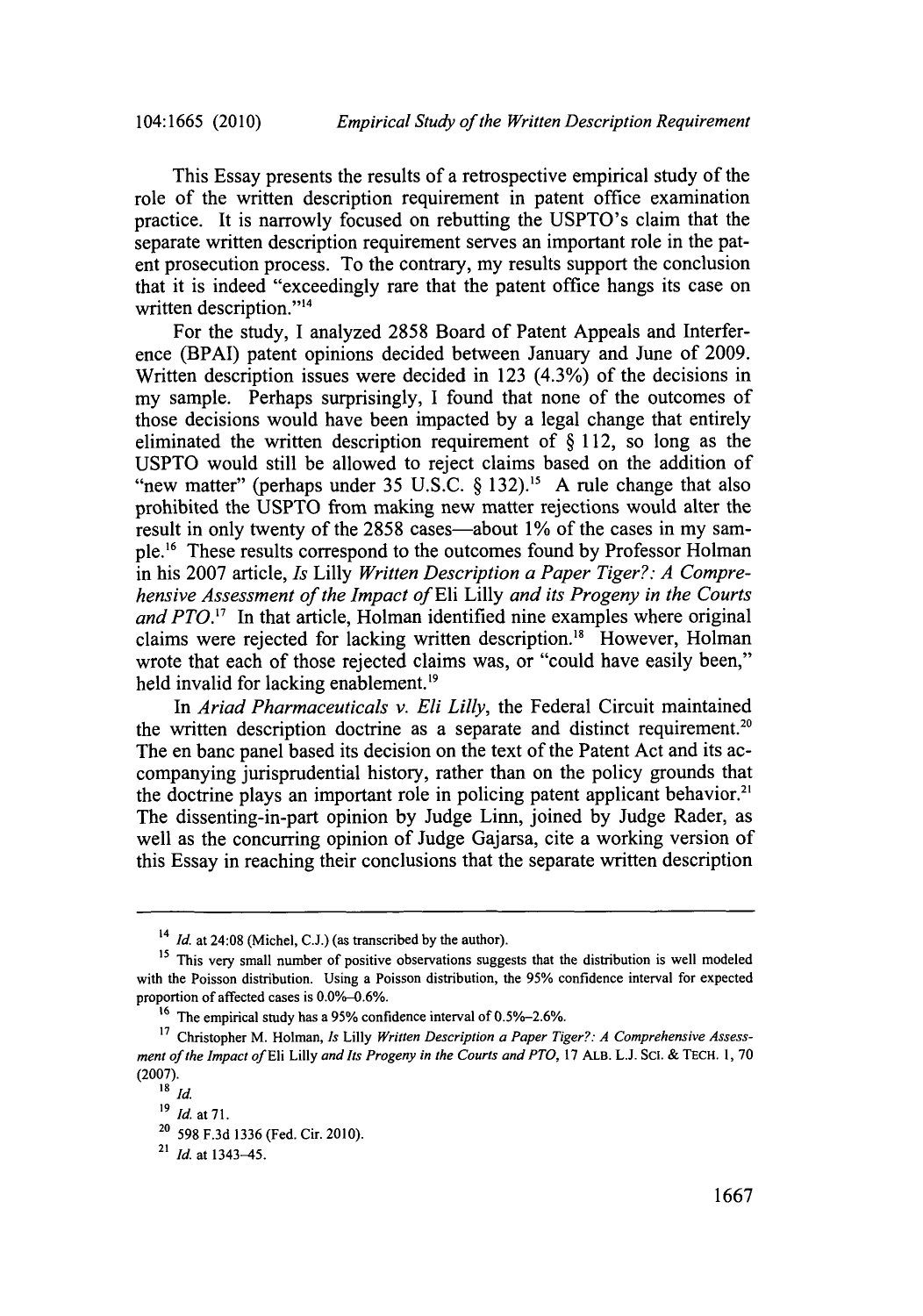This Essay presents the results of a retrospective empirical study of the role of the written description requirement in patent office examination practice. It is narrowly focused on rebutting the USPTO's claim that the separate written description requirement serves an important role in the patent prosecution process. To the contrary, my results support the conclusion that it is indeed "exceedingly rare that the patent office hangs its case on written description."<sup>14</sup>

For the study, **I** analyzed **2858** Board of Patent Appeals and Interference (BPAI) patent opinions decided between January and June of **2009.** Written description issues were decided in **123** (4.3%) of the decisions in my sample. Perhaps surprisingly, **I** found that none of the outcomes of those decisions would have been impacted **by** a legal change that entirely eliminated the written description requirement of **§** 112, so long as the **USPTO** would still be allowed to reject claims based on the addition of "new matter" (perhaps under  $35 \text{ U.S.C. }$   $\S$   $132$ ).<sup>15</sup> A rule change that also prohibited the **USPTO** from making new matter rejections would alter the result in only twenty of the **2858** cases-about **1%** of the cases in my sample." These results correspond to the outcomes found **by** Professor Holman in his **2007** article, *Is Lilly Written Description a Paper Tiger?: A Comprehensive Assessment of the Impact of* Eli Lilly *and its Progeny in the Courts and PTO."* In that article, Holman identified nine examples where original claims were rejected for lacking written description." However, Holman wrote that each of those rejected claims was, or "could have easily been," held invalid for lacking enablement.<sup>19</sup>

*In Ariad Pharmaceuticals v. Eli Lilly,* the Federal Circuit maintained the written description doctrine as a separate and distinct requirement.<sup>20</sup> The en banc panel based its decision on the text of the Patent Act and its accompanying jurisprudential history, rather than on the policy grounds that the doctrine plays an important role in policing patent applicant behavior.<sup>21</sup> The dissenting-in-part opinion **by** Judge Linn, joined **by** Judge Rader, as well as the concurring opinion of Judge Gajarsa, cite a working version of this Essay in reaching their conclusions that the separate written description

<sup>14</sup> *Id.* at 24:08 (Michel, **C.J.)** (as transcribed **by** the author).

<sup>&</sup>lt;sup>15</sup> This very small number of positive observations suggests that the distribution is well modeled with the Poisson distribution. Using a Poisson distribution, the **95%** confidence interval for expected proportion of affected cases is **0.0%-0. 6%.**

**<sup>16</sup>**The empirical study has a **95%** confidence interval of 0.5%-2.6%.

**<sup>17</sup>** Christopher M. Holman, *Is Lilly Written Description a Paper Tiger?: A Comprehensive Assessment of the Impact of Eli Lilly and Its Progeny in the Courts and PTO, 17 ALB. L.J. SCI. & TECH. 1, 70* **(2007).**

**<sup>18</sup>***Id.*

**<sup>19</sup>***Id. at* **71.**

**<sup>20 598</sup> F.3d 1336** (Fed. Cir. 2010).

**<sup>21</sup>***Id.* at 1343-45.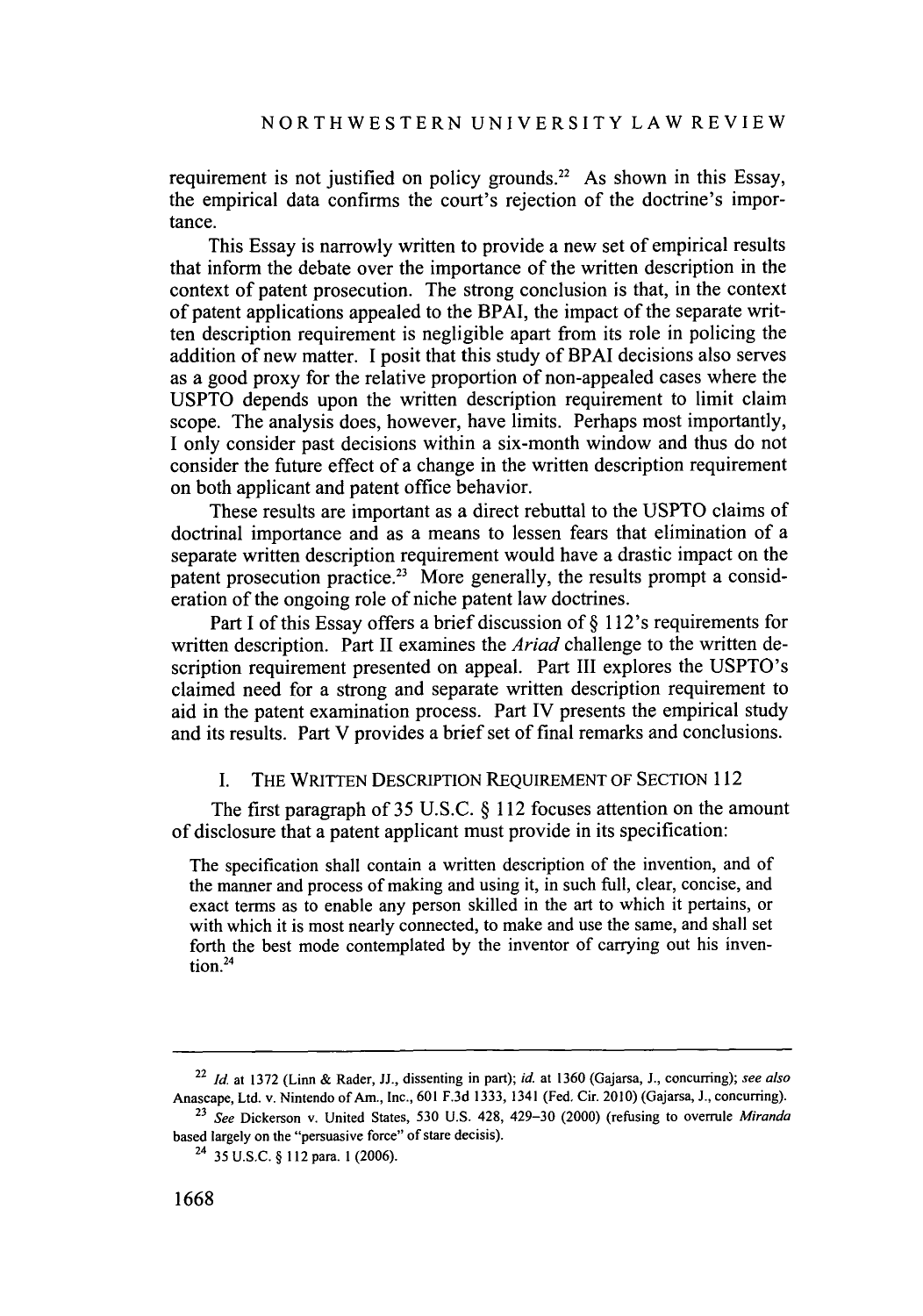requirement is not justified on policy grounds.<sup>22</sup> As shown in this Essay, the empirical data confirms the court's rejection of the doctrine's importance.

This Essay is narrowly written to provide a new set of empirical results that inform the debate over the importance of the written description in the context of patent prosecution. The strong conclusion is that, in the context of patent applications appealed to the BPAI, the impact of the separate written description requirement is negligible apart from its role in policing the addition of new matter. **I** posit that this study of BPAI decisions also serves as a good proxy for the relative proportion of non-appealed cases where the **USPTO** depends upon the written description requirement to limit claim scope. The analysis does, however, have limits. Perhaps most importantly, **I** only consider past decisions within a six-month window and thus do not consider the future effect of a change in the written description requirement on both applicant and patent office behavior.

These results are important as a direct rebuttal to the **USPTO** claims of doctrinal importance and as a means to lessen fears that elimination of a separate written description requirement would have a drastic impact on the patent prosecution practice.<sup>23</sup> More generally, the results prompt a consideration of the ongoing role of niche patent law doctrines.

Part **I** of this Essay offers a brief discussion of **§** 112's requirements for written description. Part II examines the *Ariad* challenge to the written description requirement presented on appeal. Part **III** explores the USPTO's claimed need for a strong and separate written description requirement to aid in the patent examination process. Part IV presents the empirical study and its results. Part V provides a brief set of final remarks and conclusions.

#### **I.** THE WRITTEN **DESCRIPTION REQUIREMENT** OF **SECTION** 112

The first paragraph of **35 U.S.C. §** 112 focuses attention on the amount of disclosure that a patent applicant must provide in its specification:

The specification shall contain a written description of the invention, and of the manner and process of making and using it, in such full, clear, concise, and exact terms as to enable any person skilled in the art to which it pertains, or with which it is most nearly connected, to make and use the same, and shall set forth the best mode contemplated by the inventor of carrying out his invention.<sup>24</sup>

**<sup>22</sup>***Id.* at **1372** (Linn **&** Rader, **JJ.,** dissenting in part); *id.* at **1360** (Gajarsa, **J.,** concurring); **see also** Anascape, Ltd. v. Nintendo of Am., Inc., **601 F.3d 1333,** 1341 (Fed. Cir. 2010) (Gajarsa, **J.,** concurring).

**<sup>23</sup>***See* Dickerson v. United States, **530 U.S.** 428, 429-30 (2000) (refusing to overrule *Miranda* based largely on the "persuasive force" of stare decisis).

**<sup>24 35</sup> U.S.C. § 112** para. **1 (2006).**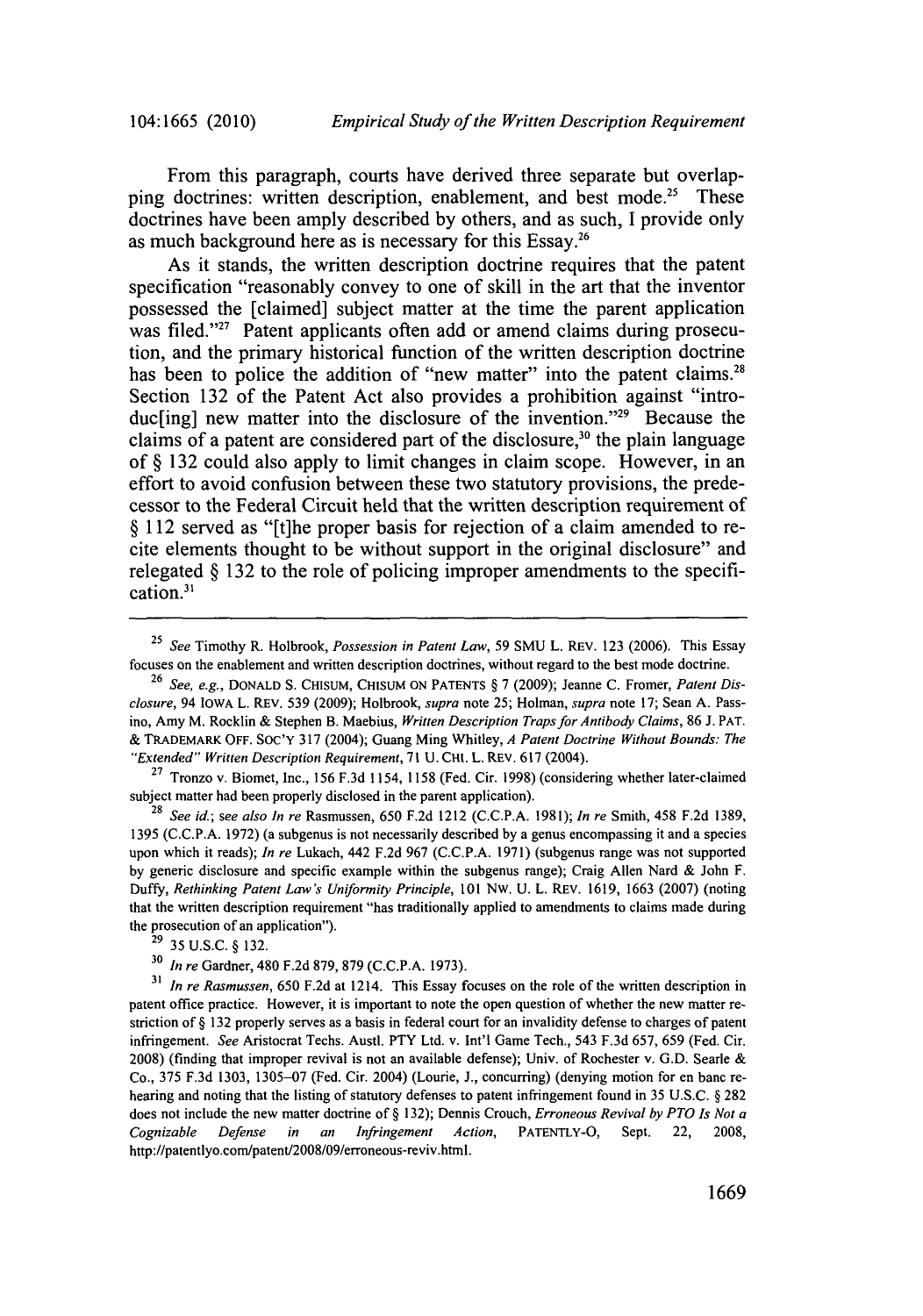From this paragraph, courts have derived three separate but overlapping doctrines: written description, enablement, and best mode.<sup>25</sup> These doctrines have been amply described **by** others, and as such, **I** provide only as much background here as is necessary for this Essay.26

As it stands, the written description doctrine requires that the patent specification "reasonably convey to one of skill in the art that the inventor possessed the [claimed] subject matter at the time the parent application was filed."<sup>27</sup> Patent applicants often add or amend claims during prosecution, and the primary historical function of the written description doctrine has been to police the addition of "new matter" into the patent claims.<sup>28</sup> Section **132** of the Patent Act also provides a prohibition against "introduc[ing] new matter into the disclosure of the invention."<sup>29</sup> Because the claims of a patent are considered part of the disclosure,<sup>30</sup> the plain language of **§ 132** could also apply to limit changes in claim scope. However, in an effort to avoid confusion between these two statutory provisions, the predecessor to the Federal Circuit held that the written description requirement of **§** 112 served as "[t]he proper basis for rejection of a claim amended to recite elements thought to be without support in the original disclosure" and relegated **§ 132** to the role of policing improper amendments to the specification.<sup>31</sup>

**<sup>27</sup>**Tronzo v. Biomet, Inc., **156 F.3d 1154, 1158** (Fed. Cir. **1998)** (considering whether later-claimed subject matter had been properly disclosed in the parent application).

**<sup>28</sup>***See id.; see also In re* Rasmussen, **650 F.2d** 1212 **(C.C.P.A. 1981);** *In re* Smith, 458 **F.2d 1389, 1395 (C.C.P.A. 1972)** (a subgenus is not necessarily described **by** a genus encompassing it and a species upon which it reads); *In re* Lukach, 442 **F.2d 967 (C.C.P.A. 1971)** (subgenus range was not supported **by** generic disclosure and specific example within the subgenus range); Craig Allen Nard **&** John F. Duffy, *Rethinking Patent Law's Uniformity Principle, 101* **Nw. U.** L. REV. **1619, 1663 (2007)** (noting that the written description requirement "has traditionally applied to amendments to claims made during the prosecution of an application").

**29 35 U.S.C.** *§* **132.**

**<sup>25</sup>***See* Timothy R. Holbrook, *Possession in Patent Law,* **59 SMU** L. REV. **123 (2006).** This Essay focuses on the enablement and written description doctrines, without regard to the best mode doctrine.

**<sup>26</sup>***See, e.g.,* **DONALD S. CHISUM, CHISUM ON PATENTS** *§* **7 (2009);** Jeanne **C.** Fromer, *Patent Disclosure, 94* IOWA L. REv. **539 (2009);** Holbrook, *supra* note **25;** Holman, *supra* note **17;** Sean **A.** Passino, Amy M. Rocklin **&** Stephen B. Maebius, *Written Description Traps for Antibody Claims,* **86 J.** PAT. **&** TRADEMARK OFF. SOc'Y **317** (2004); Guang Ming Whitley, *A Patent Doctrine Without Bounds: The "Extended" Written Description Requirement,* **71 U. CHI.** L. REV. **617** (2004).

**<sup>30</sup>***In re* Gardner, 480 **F.2d 879, 879 (C.C.P.A. 1973).**

**<sup>31</sup>***In re Rasmussen,* **650 F.2d** at 1214. This Essay focuses on the role of the written description in patent office practice. However, it is important to note the open question of whether the new matter restriction of *§* **132** properly serves as a basis in federal court for an invalidity defense to charges of patent infringement. *See* Aristocrat Techs. Austl. PTY Ltd. v. Int'l Game Tech., 543 **F.3d 657, 659** (Fed. Cir. **2008)** (finding that improper revival is not an available defense); Univ. of Rochester v. **G.D.** Searle **&** Co., **375 F.3d 1303, 1305-07** (Fed. Cir. 2004) (Lourie, **J.,** concurring) (denying motion for en banc rehearing and noting that the listing of statutory defenses to patent infringement found in **35 U.S.C.** *§* **282** does not include the new matter doctrine of *§* **132);** Dennis Crouch, *Erroneous Revival by PTO Is Not a Cognizable Defense in an Infringement Action,* PATENTLY-O, Sept. 22, **2008,** http://patentlyo.com/patent/2008/09/erroneous-reviv.html.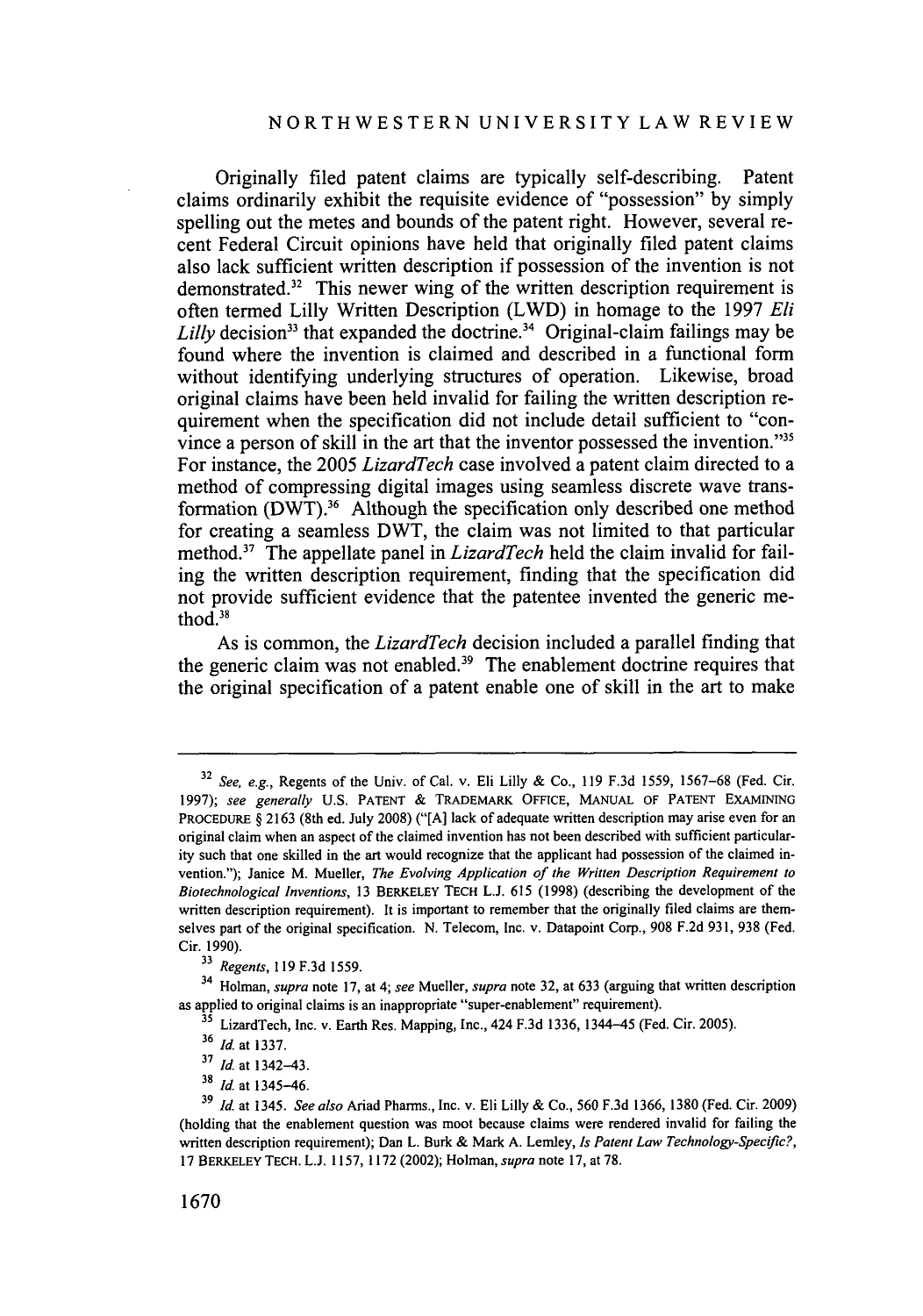Originally filed patent claims are typically self-describing. Patent claims ordinarily exhibit the requisite evidence of "possession" **by** simply spelling out the metes and bounds of the patent right. However, several recent Federal Circuit opinions have held that originally filed patent claims also lack sufficient written description if possession of the invention is not demonstrated.<sup>32</sup> This newer wing of the written description requirement is often termed Lilly Written Description (LWD) in homage to the **1997** *Eli* Lilly decision<sup>33</sup> that expanded the doctrine.<sup>34</sup> Original-claim failings may be found where the invention is claimed and described in a functional form without identifying underlying structures of operation. Likewise, broad original claims have been held invalid for failing the written description requirement when the specification did not include detail sufficient to "convince a person of skill in the art that the inventor possessed the invention."<sup>35</sup> For instance, the **2005** *LizardTech* case involved a patent claim directed to a method of compressing digital images using seamless discrete wave transformation (DWT).36 Although the specification only described one method for creating a seamless DWT, the claim was not limited to that particular method.37 The appellate panel in *LizardTech* held the claim invalid for failing the written description requirement, finding that the specification did not provide sufficient evidence that the patentee invented the generic method.<sup>38</sup>

As is common, the *LizardTech* decision included a parallel finding that the generic claim was not enabled.<sup>39</sup> The enablement doctrine requires that the original specification of a patent enable one of skill in the art to make

**<sup>32</sup>***See, e.g.,* Regents of the Univ. of *Cal.* v. Eli Lilly **&** Co., **119 F.3d** *1559,* **1567-68** (Fed. Cir. **1997);** *see generally* **U.S. PATENT** *&* TRADEMARK OFFICE, **MANUAL** OF **PATENT** EXAMINING PROCEDURE **§ 2163** (8th ed. July **2008) ("[A]** lack of adequate written description may arise even for an original claim when an aspect of the claimed invention has not been described with sufficient particularity such that one skilled in the art would recognize that the applicant had possession of the claimed invention."); Janice M. Mueller, *The Evolving Application of the Written Description Requirement to Biotechnological Inventions,* **13** BERKELEY TECH **L.J. 615 (1998)** (describing the development of the written description requirement). It is important to remember that the originally filed claims are themselves part of the original specification. **N.** Telecom, Inc. v. Datapoint Corp., **908 F.2d 931, 938** (Fed. Cir. **1990).**

**<sup>3</sup>** *Regents,* **119 F.3d 1559.**

<sup>34</sup> Holman, *supra* note **17,** at 4; *see Mueller, supra* note **32,** at **633** (arguing that written description as applied to original claims is an inappropriate "super-enablement" requirement).

**<sup>35</sup>**LizardTech, Inc. v. Earth Res. Mapping, Inc., 424 **F.3d 1336,** 1344-45 (Fed. Cir. **2005).**

**<sup>36</sup>***Id.* at **1337.**

*Id.* at 1342-43.

**<sup>38</sup>***Id* at 1345-46.

**<sup>3</sup>***Id* at *1345. See also* Ariad Pharms., Inc. v. Eli Lilly **&** Co., **560 F.3d 1366, 1380** (Fed. Cir. **2009)** (holding that the enablement question was moot because claims were rendered invalid for failing the written description requirement); Dan L. Burk **&** Mark **A.** Lemley, *Is Patent Law Technology-Specific?,* **17** BERKELEY **TECH. L.J. 1157, 1172** (2002); Holman, *supra* note **17,** at **78.**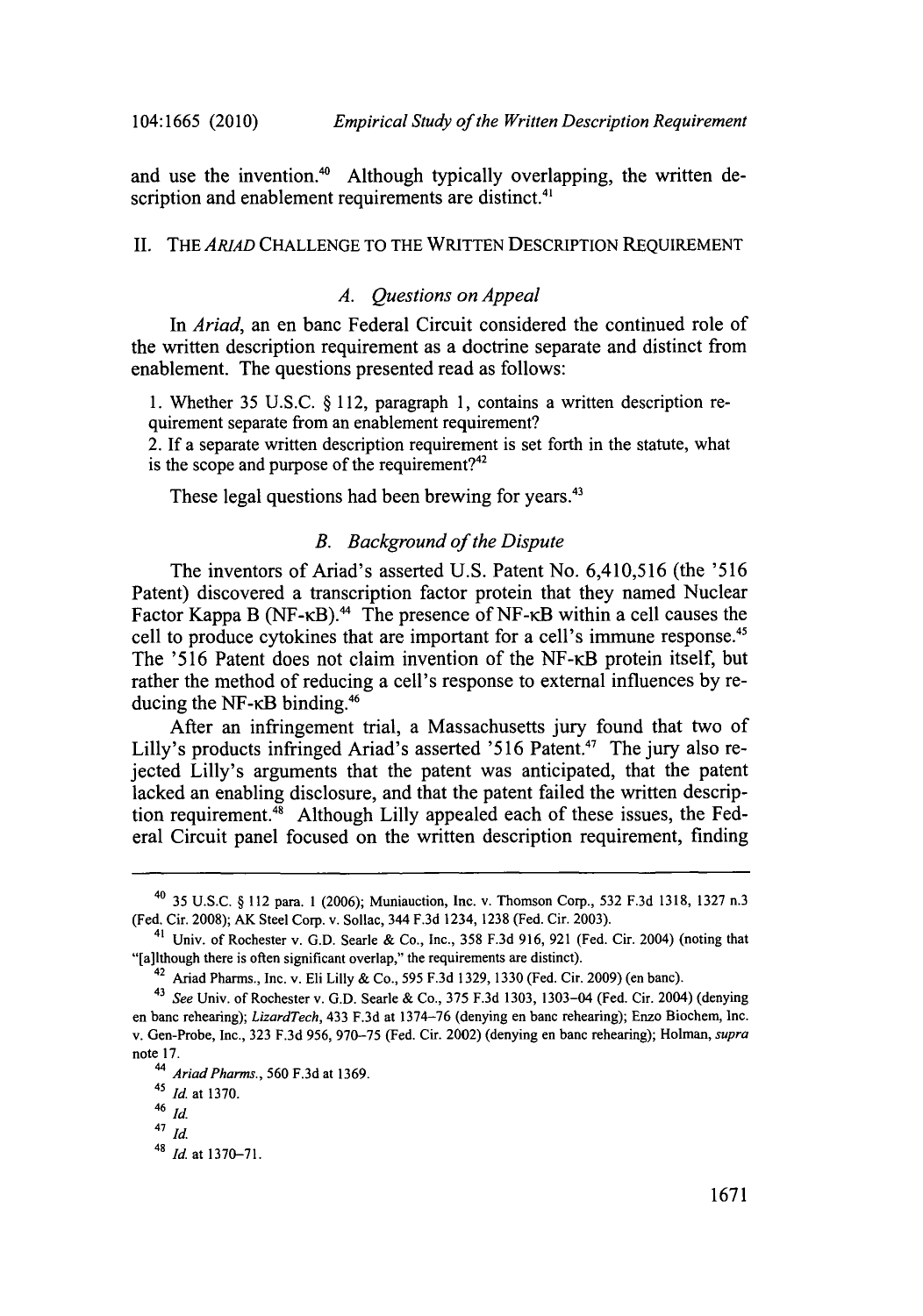and use the invention.<sup>40</sup> Although typically overlapping, the written description and enablement requirements are distinct.<sup>41</sup>

#### **II.** THE *ARIAD* **CHALLENGE** TO THE WRITTEN **DESCRIPTION** REQUIREMENT

#### *A. Questions on Appeal*

*In Ariad,* an en banc Federal Circuit considered the continued role of the written description requirement as a doctrine separate and distinct from enablement. The questions presented read as follows:

**1.** Whether **35 U.S.C. §** 112, paragraph **1,** contains a written description requirement separate from an enablement requirement?

2. **If** a separate written description requirement is set forth in the statute, what is the scope and purpose of the requirement?<sup>42</sup>

These legal questions had been brewing for years.<sup>43</sup>

#### *B. Background of the Dispute*

The inventors of Ariad's asserted **U.S.** Patent No. **6,410,516** (the **'516** Patent) discovered a transcription factor protein that they named Nuclear Factor Kappa B (NF- $\kappa$ B).<sup>44</sup> The presence of NF- $\kappa$ B within a cell causes the cell to produce cytokines that are important for a cell's immune response.<sup>45</sup> The '516 Patent does not claim invention of the NF-<sub>KB</sub> protein itself, but rather the method of reducing a cell's response to external influences **by** reducing the NF- $\kappa$ B binding.<sup>46</sup>

After an infringement trial, a Massachusetts jury found that two of Lilly's products infringed Ariad's asserted '516 Patent.<sup>47</sup> The jury also rejected Lilly's arguments that the patent was anticipated, that the patent lacked an enabling disclosure, and that the patent failed the written description requirement. $4\bar{8}$  Although Lilly appealed each of these issues, the Federal Circuit panel focused on the written description requirement, finding

<sup>4</sup>o **35 U.S.C.** *§* 112 para. **1 (2006);** Muniauction, Inc. v. Thomson Corp., **532 F.3d 1318, 1327** n.3 **(Fed.** Cir. **2008);** AK Steel Corp. v. Sollac, 344 **F.3d** 1234, **1238** (Fed. Cir. **2003).**

<sup>41</sup> Univ. of Rochester v. **G.D.** Searle **&** Co., Inc., **358 F.3d 916, 921** (Fed. Cir. 2004) (noting that "[a]lthough there is often significant overlap," the requirements are distinct).

**<sup>42</sup>**Ariad Pharms., Inc. v. Eli Lilly **&** Co., **595 F.3d 1329, 1330** (Fed. Cir. **2009)** (en banc).

<sup>43</sup>*See* Univ. of Rochester v. **G.D.** Searle **&** Co., **375 F.3d 1303,** 1303-04 (Fed. Cir. 2004) (denying en banc rehearing); *LizardTech,* 433 **F.3d** at **1374-76** (denying en banc rehearing); Enzo Biochem, Inc. v. Gen-Probe, Inc., **323 F.3d 956, 970-75** (Fed. Cir. 2002) (denying en banc rehearing); Holman, *supra* note **17.**

<sup>44</sup>*AriadPharms.,* **560 F.3d** at **1369.**

<sup>45</sup>*Id.* at **1370.**

**<sup>46</sup>***Id*

<sup>47</sup> *Id*

**<sup>48</sup>***Id* at **1370-71.**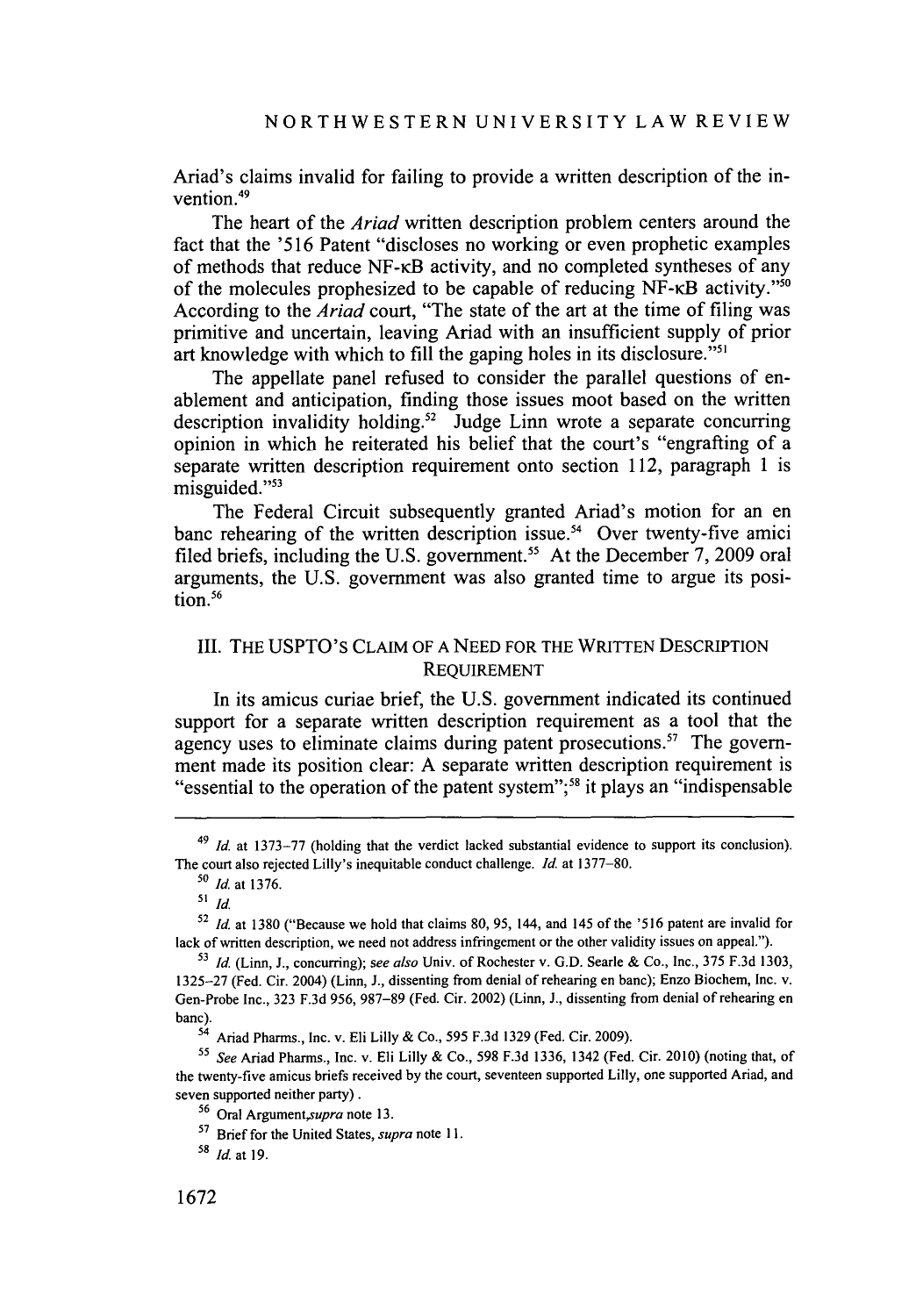Ariad's claims invalid for failing to provide a written description of the invention.49

The heart of the *Ariad* written description problem centers around the fact that the **'516** Patent "discloses no working or even prophetic examples of methods that reduce NF- $\kappa$ B activity, and no completed syntheses of any of the molecules prophesized to be capable of reducing NF- $\kappa$ B activity."<sup>50</sup> According to the *Ariad* court, "The state of the art at the time of filing was primitive and uncertain, leaving Ariad with an insufficient supply of prior art knowledge with which to **fill** the gaping holes in its disclosure."'

The appellate panel refused to consider the parallel questions of enablement and anticipation, finding those issues moot based on the written description invalidity holding.<sup>52</sup> Judge Linn wrote a separate concurring opinion in which he reiterated his belief that the court's "engrafting of a separate written description requirement onto section 112, paragraph **I** is misguided."<sup>53</sup>

The Federal Circuit subsequently granted Ariad's motion for an en banc rehearing of the written description issue.<sup>54</sup> Over twenty-five amici filed briefs, including the U.S. government.<sup>55</sup> At the December 7, 2009 oral arguments, the **U.S.** government was also granted time to argue its position. $56$ 

#### III. THE **USPTO's CLAIM** OF **A NEED** FOR THE WRITTEN **DESCRIPTION REQUIREMENT**

In its amicus curiae brief, the **U.S.** government indicated its continued support for a separate written description requirement as a tool that the agency uses to eliminate claims during patent prosecutions.<sup>57</sup> The government made its position clear: **A** separate written description requirement is "essential to the operation of the patent system";<sup>58</sup> it plays an "indispensable"

**58** *Id.* at **19.**

<sup>49</sup>*Id* at **1373-77** (holding that the verdict lacked substantial evidence to support its conclusion). The court also rejected Lilly's inequitable conduct challenge. *Id* at **1377-80.**

*<sup>50</sup> Id.* at **1376.**

<sup>&</sup>lt;sup>51</sup> Id.

**<sup>52</sup>***Id.* at **1380** ("Because we hold that claims **80,** *95,* 144, and 145 of the **'516** patent are invalid for lack of written description, we need not address infringement or the other validity issues on appeal.").

**<sup>53</sup>***Id* (Linn, **J.,** concurring); *see also* Univ. of Rochester v. **G.D.** Searle **&** Co., Inc., **375 F.3d 1303, 1325-27** (Fed. Cir. 2004) (Linn, **J.,** dissenting from denial of rehearing en banc); Enzo Biochem, Inc. v. Gen-Probe Inc., **323 F.3d 956, 987-89** (Fed. Cir. 2002) (Linn, **J.,** dissenting from denial of rehearing en banc).

<sup>54</sup> Ariad Pharms., Inc. v. Eli Lilly **&** Co., **595 F.3d 1329** (Fed. Cir. **2009).**

**<sup>55</sup>***See* Ariad Pharms., Inc. v. Eli Lilly **&** Co., **598 F.3d 1336,** 1342 (Fed. Cir. 2010) (noting that, of the twenty-five amicus briefs received **by** the court, seventeen supported Lilly, one supported Ariad, and seven supported neither party) **.**

<sup>&</sup>lt;sup>56</sup> Oral Argument, *supra* note 13.

**<sup>5</sup>** Brief for the United States, *supra note* **11.**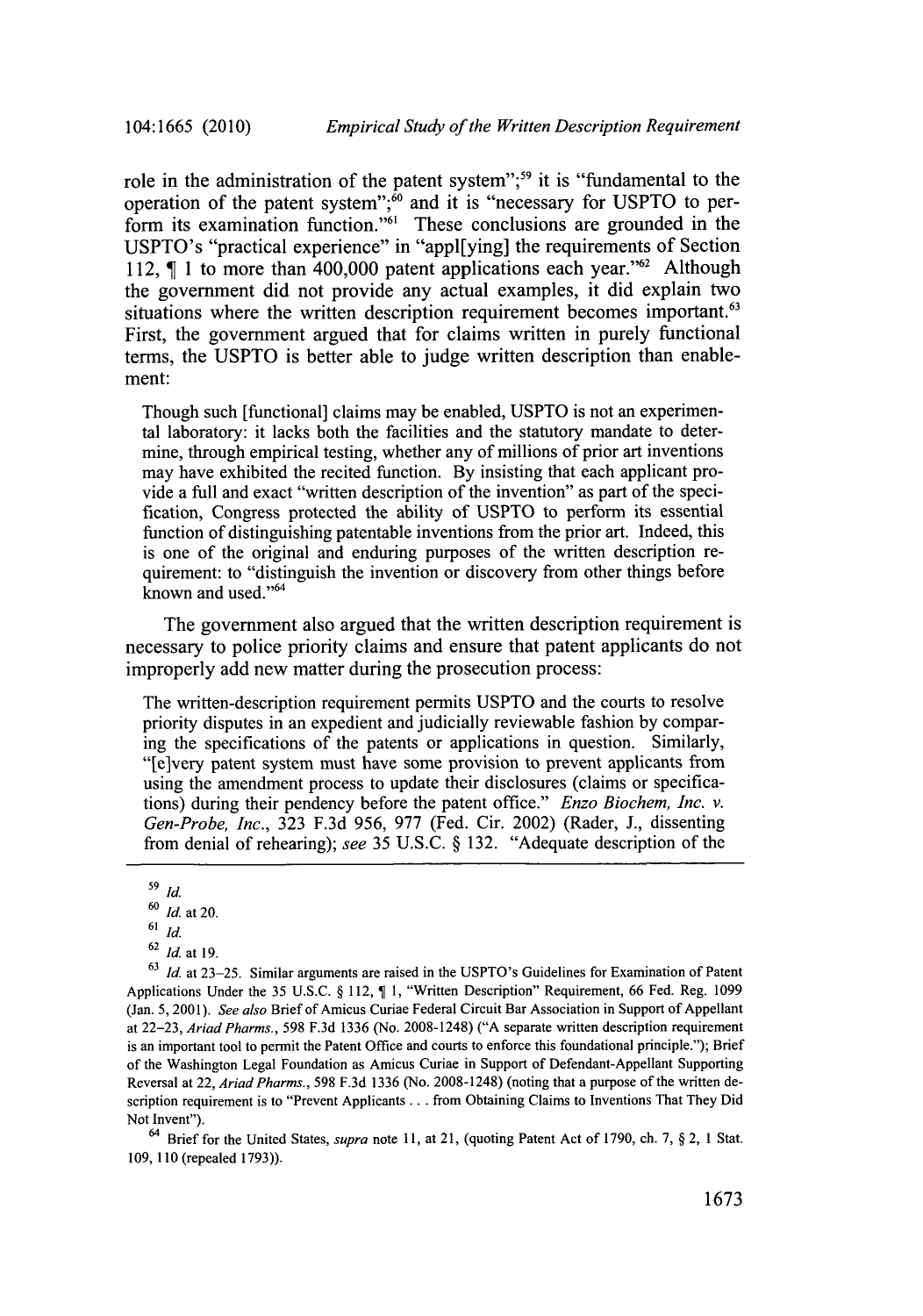role in the administration of the patent system";<sup>59</sup> it is "fundamental to the operation of the patent system";"o and it is "necessary for **USPTO** to perform its examination function."<sup>61</sup> These conclusions are grounded in the USPTO's "practical experience" in "appl[ying] the requirements of Section 112,  $\P$  1 to more than 400,000 patent applications each year."<sup>62</sup> Although the government did not provide any actual examples, it did explain two situations where the written description requirement becomes important.<sup>63</sup> First, the government argued that for claims written in purely functional terms, the **USPTO** is better able to judge written description than enablement:

Though such [functional] claims may be enabled, **USPTO** is not an experimental laboratory: it lacks both the facilities and the statutory mandate to determine, through empirical testing, whether any of millions of prior art inventions may have exhibited the recited function. **By** insisting that each applicant provide a full and exact "written description of the invention" as part of the specification, Congress protected the ability of **USPTO** to perform its essential function of distinguishing patentable inventions from the prior art. Indeed, this is one of the original and enduring purposes of the written description requirement: to "distinguish the invention or discovery from other things before known and used."<sup>64</sup>

The government also argued that the written description requirement is necessary to police priority claims and ensure that patent applicants do not improperly add new matter during the prosecution process:

The written-description requirement permits **USPTO** and the courts to resolve priority disputes in an expedient and judicially reviewable fashion **by** comparing the specifications of the patents or applications in question. Similarly, "[e]very patent system must have some provision to prevent applicants from using the amendment process to update their disclosures (claims or specifications) during their pendency before the patent office." *Enzo Biochem, Inc. v. Gen-Probe, Inc.,* **323 F.3d** *956,* **977** (Fed. Cir. 2002) (Rader, **J.,** dissenting from denial of rehearing); *see 35* **U.S.C. § 132.** "Adequate description of the

Brief for the United States, *supra note* **11,** at 21, (quoting Patent Act of **1790,** ch. **7,** *§* 2, **1** Stat. **109, 110** (repealed **1793)).**

**<sup>59</sup>***Id.*

**<sup>60</sup>***Id.* at 20.

**<sup>61</sup>***Id.*

**<sup>62</sup>***Id.* at **19.**

**<sup>63</sup>***Id.* at **23-25.** Similar arguments are raised in the USPTO's Guidelines for Examination of Patent Applications Under the **35 U.S.C.** *§* 112, *}* **1,** "Written Description" Requirement, **66** Fed. Reg. **<sup>1099</sup>** (Jan. **5,** 2001). *See also* Brief of Amicus Curiae Federal Circuit Bar Association in Support of Appellant at **22-23,** *AriadPharms.,* **598 F.3d 1336** (No. **2008-1248) ("A** separate written description requirement is an important tool to permit the Patent Office and courts to enforce this foundational principle."); Brief of the Washington Legal Foundation as Amicus Curiae in Support of Defendant-Appellant Supporting Reversal at 22, *Ariad Pharms.*, 598 F.3d 1336 (No. 2008-1248) (noting that a purpose of the written description requirement is to "Prevent Applicants **. . .** from Obtaining Claims to Inventions That They Did Not Invent").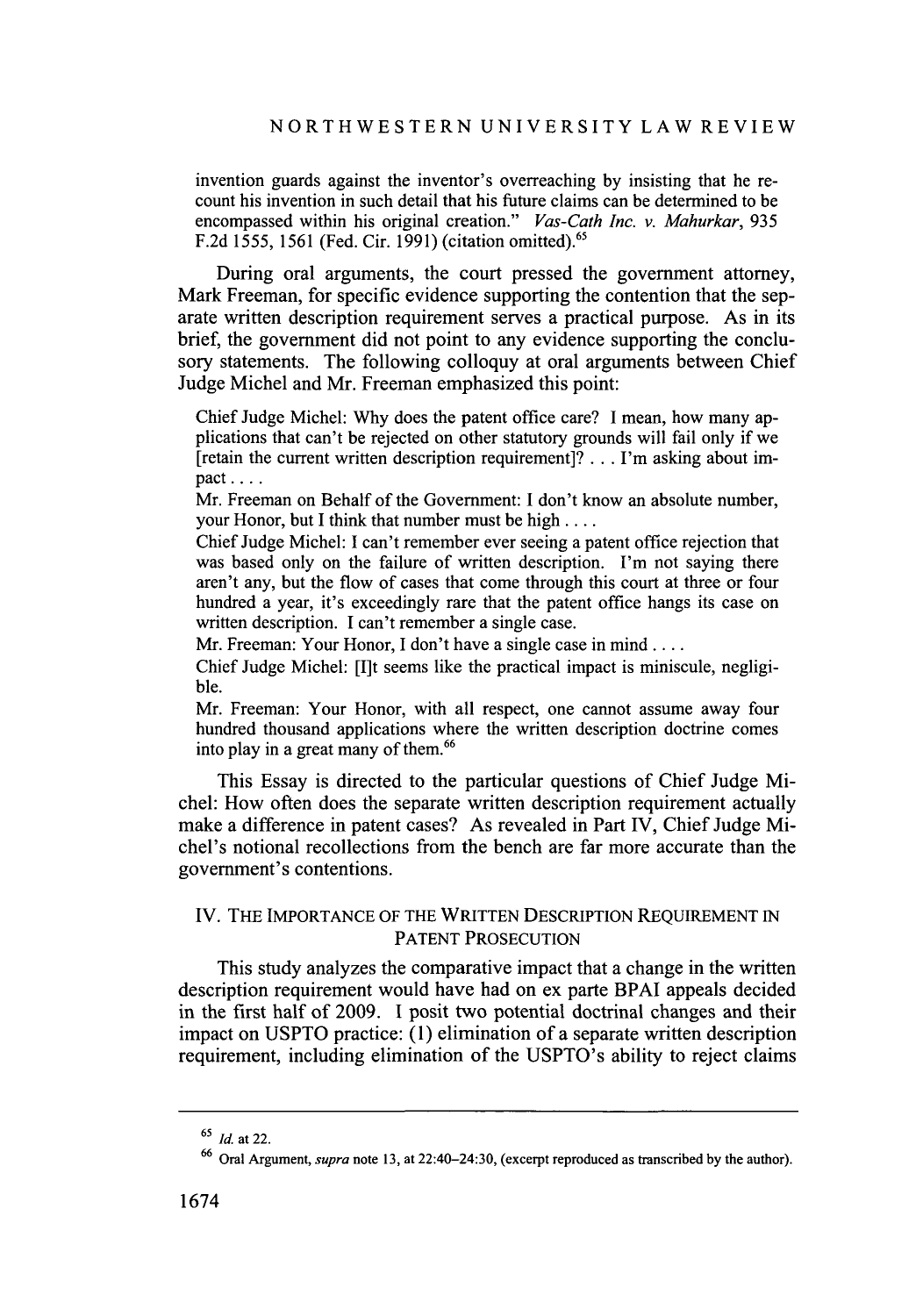invention guards against the inventor's overreaching **by** insisting that he recount his invention in such detail that his future claims can be determined to be encompassed within his original creation." *Vas-Cath Inc. v. Mahurkar, 935* **F.2d** *1555,* **1561** (Fed. Cir. **1991)** (citation omitted).65

During oral arguments, the court pressed the government attorney, Mark Freeman, for specific evidence supporting the contention that the separate written description requirement serves a practical purpose. As in its brief, the government did not point to any evidence supporting the conclusory statements. The following colloquy at oral arguments between Chief Judge Michel and Mr. Freeman emphasized this point:

Chief Judge Michel: **Why** does the patent office care? **I** mean, how many applications that can't be rejected on other statutory grounds will fail only if we [retain the current written description requirement]? **.** . **.** I'm asking about impact **....**

Mr. Freeman on Behalf of the Government: **I** don't know an absolute number, your Honor, but **I** think that number must be high **....**

Chief Judge Michel: **I** can't remember ever seeing a patent office rejection that was based only on the failure of written description. I'm not saying there aren't any, but the flow of cases that come through this court at three or four hundred a year, it's exceedingly rare that the patent office hangs its case on written description. I can't remember a single case.

Mr. Freeman: Your Honor, **I** don't have a single case in mind **....**

Chief Judge Michel: [I]t seems like the practical impact is miniscule, negligible.

Mr. Freeman: Your Honor, with all respect, one cannot assume away four hundred thousand applications where the written description doctrine comes into play in a great many of them.<sup>66</sup>

This Essay is directed to the particular questions of Chief Judge Michel: How often does the separate written description requirement actually make a difference in patent cases? As revealed in Part IV, Chief Judge Michel's notional recollections from the bench are far more accurate than the government's contentions.

#### IV. THE IMPORTANCE OF THE WRITTEN **DESCRIPTION REQUIREMENT IN PATENT PROSECUTION**

This study analyzes the comparative impact that a change in the written description requirement would have had on ex parte BPAI appeals decided in the first half of **2009.** I posit two potential doctrinal changes and their impact on **USPTO** practice: **(1)** elimination of a separate written description requirement, including elimination of the USPTO's ability to reject claims

**<sup>65</sup>***Id.* **at 22.**

**<sup>6</sup> Oral Argument,** *supra* **note 13, at 22:40-24:30, (excerpt reproduced as transcribed by the author).**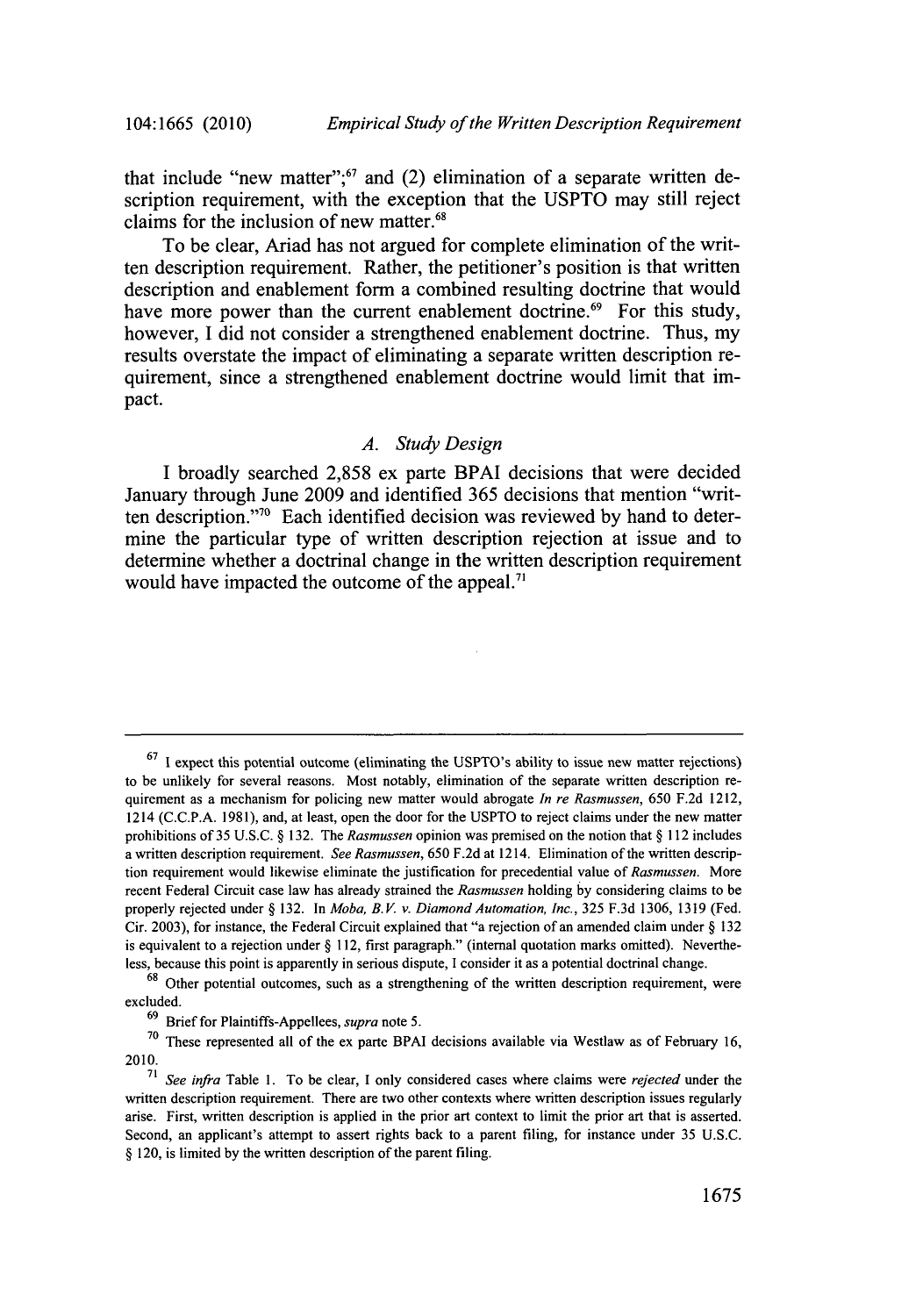that include "new matter"; $67$  and (2) elimination of a separate written description requirement, with the exception that the **USPTO** may still reject claims for the inclusion of new matter.<sup>68</sup>

To be clear, Ariad has not argued for complete elimination of the written description requirement. Rather, the petitioner's position is that written description and enablement form a combined resulting doctrine that would have more power than the current enablement doctrine.<sup>69</sup> For this study, however, **I** did not consider a strengthened enablement doctrine. Thus, my results overstate the impact of eliminating a separate written description requirement, since a strengthened enablement doctrine would limit that impact.

#### *A. Study Design*

**I** broadly searched **2,858** ex parte BPAI decisions that were decided January through June **2009** and identified *365* decisions that mention "written description.""o Each identified decision was reviewed **by** hand to determine the particular type of written description rejection at issue and to determine whether a doctrinal change in the written description requirement would have impacted the outcome of the appeal.<sup>71</sup>

 $67$  I expect this potential outcome (eliminating the USPTO's ability to issue new matter rejections) to be unlikely for several reasons. Most notably, elimination of the separate written description requirement as a mechanism for policing new matter would abrogate *In re Rasmussen,* **650 F.2d** 1212, 1214 **(C.C.P.A. 1981),** and, at least, open the door for the **USPTO** to reject claims under the new matter prohibitions of **35 U.S.C.** *§* **132.** The *Rasmussen* opinion was premised on the notion that *§* 112 includes a written description requirement. *See Rasmussen,* **650 F.2d** at 1214. Elimination of the written description requirement would likewise eliminate the justification for precedential value of *Rasmussen. More* recent Federal Circuit case law has already strained the *Rasmussen* holding **by** considering claims to be properly rejected under *§* **132.** In *Moba, B. V. v. Diamond Automation, Inc., 325* **F.3d 1306, 1319** (Fed. Cir. **2003),** for instance, the Federal Circuit explained that "a rejection of an amended claim under *§* **<sup>132</sup>** is equivalent to a rejection under *§* **112,** first paragraph." (internal quotation marks omitted). Nevertheless, because this point is apparently in serious dispute, **I** consider it as a potential doctrinal change.

<sup>&</sup>lt;sup>68</sup> Other potential outcomes, such as a strengthening of the written description requirement, were excluded.

**<sup>69</sup>**Brief for Plaintiffs-Appellees, *supra* note **5.**

**<sup>70</sup>**These represented all of the ex parte BPAI decisions available via Westlaw as of February **16,** 2010.

**<sup>71</sup>***See infra* Table **1.** To be clear, I only considered cases where claims were *rejected* under the written description requirement. There are two other contexts where written description issues regularly arise. First, written description is applied in the prior art context to limit the prior art that is asserted. Second, an applicant's attempt to assert rights back to a parent filing, for instance under **35 U.S.C.** *§* 120, is limited **by** the written description of the parent filing.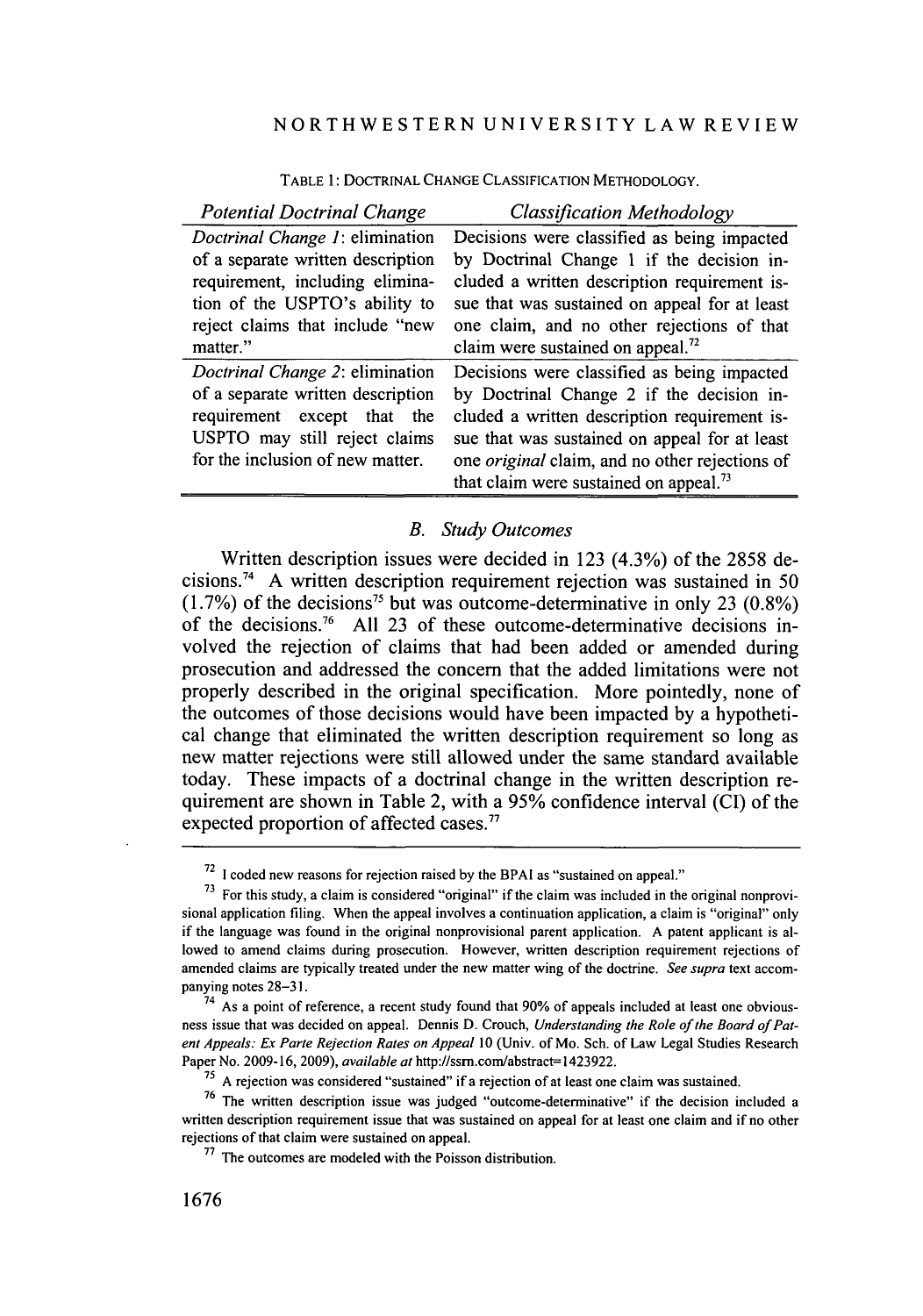#### NORTHWESTERN **UNIVERSITY** LAW REVIEW

| <b>Potential Doctrinal Change</b> | Classification Methodology                            |
|-----------------------------------|-------------------------------------------------------|
| Doctrinal Change 1: elimination   | Decisions were classified as being impacted           |
| of a separate written description | by Doctrinal Change 1 if the decision in-             |
| requirement, including elimina-   | cluded a written description requirement is-          |
| tion of the USPTO's ability to    | sue that was sustained on appeal for at least         |
| reject claims that include "new   | one claim, and no other rejections of that            |
| matter."                          | claim were sustained on appeal. $^{72}$               |
| Doctrinal Change 2: elimination   | Decisions were classified as being impacted           |
| of a separate written description | by Doctrinal Change 2 if the decision in-             |
| requirement except that the       | cluded a written description requirement is-          |
| USPTO may still reject claims     | sue that was sustained on appeal for at least         |
| for the inclusion of new matter.  | one <i>original</i> claim, and no other rejections of |
|                                   | that claim were sustained on appeal. $^{73}$          |

TABLE **1:** DOCTRINAL **CHANGE CLASSIFICATION** METHODOLOGY.

#### *B. Study Outcomes*

Written description issues were decided in **123** (4.3%) of the **2858** decisions.74 **A** written description requirement rejection was sustained in **50 (1.7%)** of the decisions" but was outcome-determinative in only **23 (0.8%)** of the decisions. <sup>76</sup>**All 23** of these outcome-determinative decisions involved the rejection of claims that had been added or amended during prosecution and addressed the concern that the added limitations were not properly described in the original specification. More pointedly, none of the outcomes of those decisions would have been impacted **by** a hypothetical change that eliminated the written description requirement so long as new matter rejections were still allowed under the same standard available today. These impacts of a doctrinal change in the written description requirement are shown in Table 2, with a **95%** confidence interval **(CI)** of the expected proportion of affected cases.<sup>77</sup>

**<sup>72</sup>**I coded new reasons for rejection raised **by** the BPAl as "sustained on appeal."

 $73$  For this study, a claim is considered "original" if the claim was included in the original nonprovisional application filing. When the appeal involves a continuation application, a claim is "original" only if the language was found in the original nonprovisional parent application. **A** patent applicant is allowed to amend claims during prosecution. However, written description requirement rejections of amended claims are typically treated under the new matter wing of the doctrine. *See supra* text accompanying notes **28-31.**

<sup>74</sup> As a point of reference, a recent study found that **90%** of appeals included at least one obviousness issue that was decided on appeal. Dennis **D.** Crouch, *Understanding the Role* of *the Board of Patent Appeals: Ex Parte Rejection Rates* on *Appeal* **10** (Univ. of Mo. Sch. of Law Legal Studies Research Paper No. **2009-16, 2009),** available at http://ssm.com/abstract= 1423922.

**A** rejection was considered "sustained" if a rejection of at least one claim was sustained.

**<sup>76</sup>**The written description issue was judged "outcome-determinative" if the decision included a written description requirement issue that was sustained on appeal for at least one claim and if no other rejections of that claim were sustained on appeal.

**<sup>7</sup>**The outcomes are modeled with the Poisson distribution.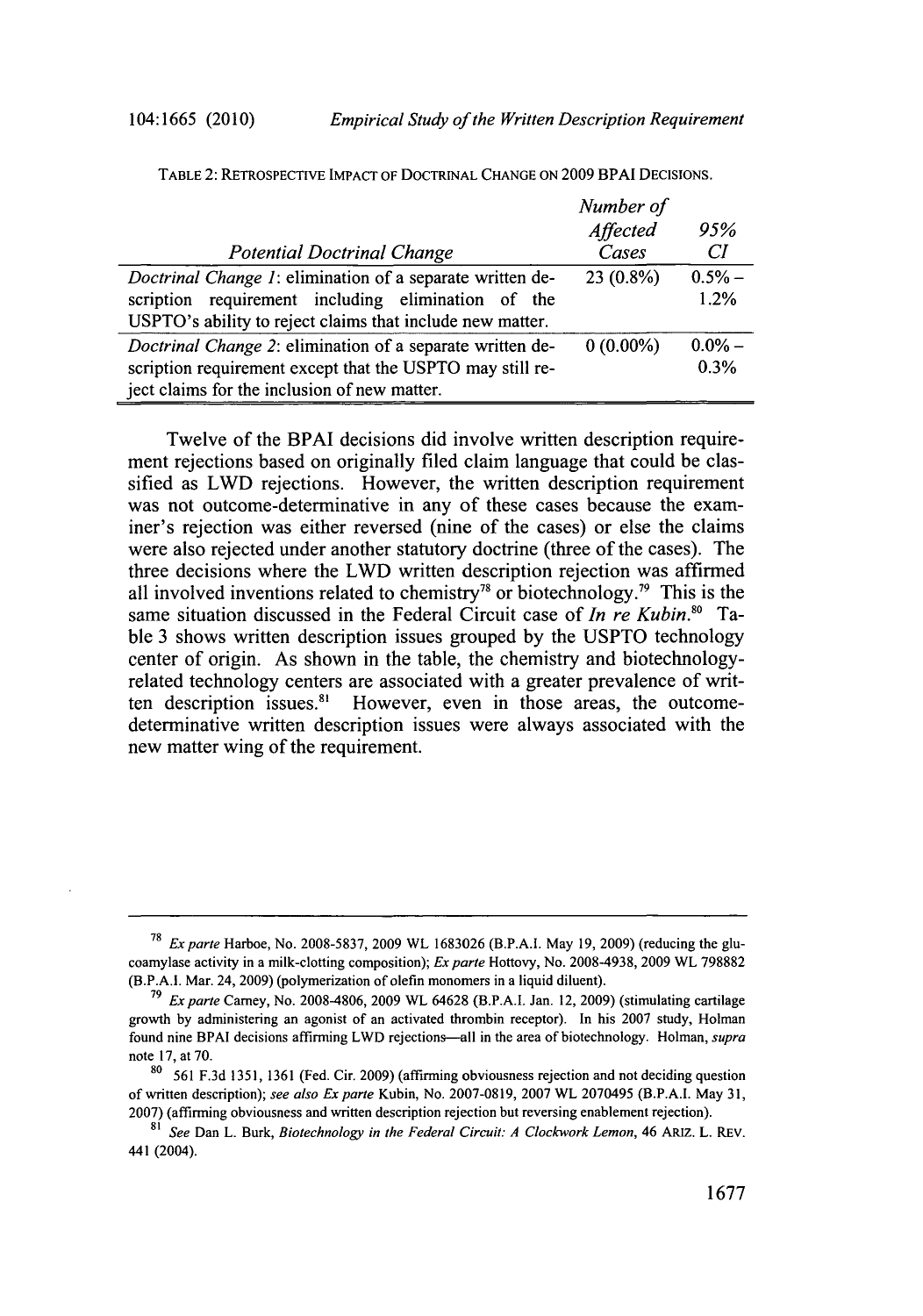|                                                                                       | Number of |          |  |  |  |  |
|---------------------------------------------------------------------------------------|-----------|----------|--|--|--|--|
|                                                                                       | Affected  | 95%      |  |  |  |  |
| <b>Potential Doctrinal Change</b>                                                     | Cases     | CI       |  |  |  |  |
| Doctrinal Change 1: elimination of a separate written de-                             | 23 (0.8%) | $0.5%$ – |  |  |  |  |
| scription requirement including elimination of the                                    |           | 1.2%     |  |  |  |  |
| USPTO's ability to reject claims that include new matter.                             |           |          |  |  |  |  |
| $0.0\%$ –<br>$0(0.00\%)$<br>Doctrinal Change 2: elimination of a separate written de- |           |          |  |  |  |  |
| 0.3%<br>scription requirement except that the USPTO may still re-                     |           |          |  |  |  |  |
| ject claims for the inclusion of new matter.                                          |           |          |  |  |  |  |

**TABLE** 2: RETROSPECTIVE IMPACT OF DOCTRINAL **CHANGE** ON **2009** BPAI **DECISIONS.**

Twelve of the BPAI decisions did involve written description requirement rejections based on originally filed claim language that could be classified as LWD rejections. However, the written description requirement was not outcome-determinative in any of these cases because the examiner's rejection was either reversed (nine of the cases) or else the claims were also rejected under another statutory doctrine (three of the cases). The three decisions where the LWD written description rejection was affirmed all involved inventions related to chemistry<sup>78</sup> or biotechnology.<sup>79</sup> This is the same situation discussed in the Federal Circuit case of *In re Kubin*.<sup>80</sup> Table **3** shows written description issues grouped **by** the **USPTO** technology center of origin. As shown in the table, the chemistry and biotechnologyrelated technology centers are associated with a greater prevalence of written description issues." However, even in those areas, the outcomedeterminative written description issues were always associated with the new matter wing of the requirement.

**<sup>7</sup>***Ex parte* Harboe, No. **2008-5837, 2009** WL **1683026** (B.P.A.I. May **19, 2009)** (reducing the glucoamylase activity in a milk-clotting composition); *Exparte* Hottovy, No. **2008-4938, 2009** WL **798882** (B.P.A.I. Mar. 24, **2009)** (polymerization of olefin monomers in a liquid diluent).

*Ex parte* Carney, No. **2008-4806, 2009** WL **64628** (B.P.A.I. Jan. 12, **2009)** (stimulating cartilage growth **by** administering an agonist of an activated thrombin receptor). In his **2007** study, Holman found nine BPAI decisions affirming LWD rejections-all in the area of biotechnology. Holman, *supra* note **17,** at **70.**

**<sup>80 561</sup> F.3d 1351, 1361** (Fed. Cir. **2009)** (affirming obviousness rejection and not deciding question of written description); *see also Ex parte* Kubin, No. **2007-0819, 2007** WL **2070495** (B.P.A.I. May **31, 2007)** (affirming obviousness and written description rejection but reversing enablement rejection).

**<sup>81</sup>** *See* Dan L. Burk, *Biotechnology in the Federal Circuit: A Clockwork Lemon,* 46 ARIZ. L. REV. 441 (2004).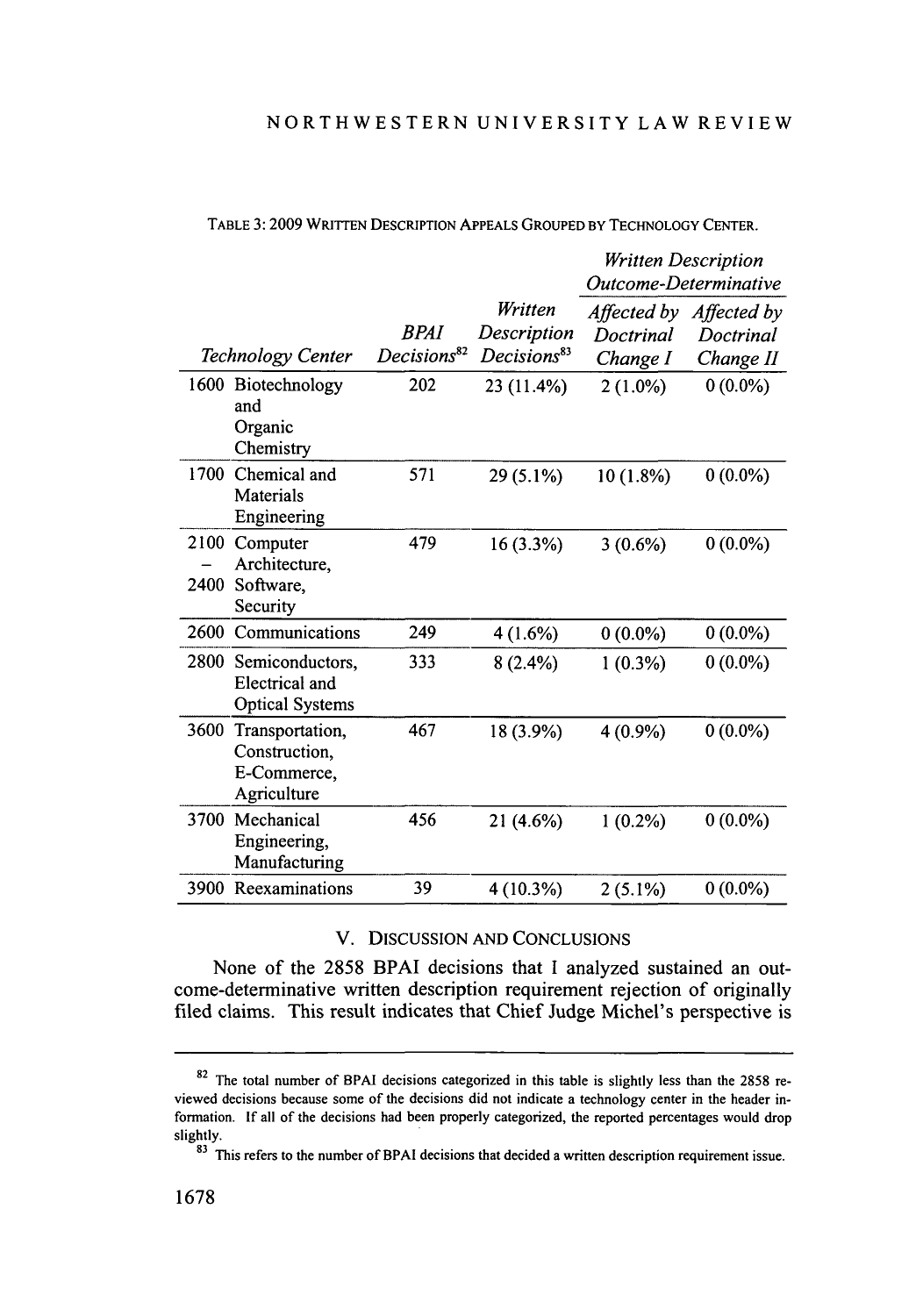|                   |                                                                    |                                        |                                                   |                                      | <b>Written Description</b><br>Outcome-Determinative |  |
|-------------------|--------------------------------------------------------------------|----------------------------------------|---------------------------------------------------|--------------------------------------|-----------------------------------------------------|--|
| Technology Center |                                                                    | <b>BPAI</b><br>Decisions <sup>82</sup> | Written<br>Description<br>Decisions <sup>83</sup> | Affected by<br>Doctrinal<br>Change I | Affected by<br>Doctrinal<br>Change II               |  |
| 1600              | Biotechnology<br>and<br>Organic<br>Chemistry                       | 202                                    | 23 (11.4%)                                        | $2(1.0\%)$                           | $0(0.0\%)$                                          |  |
| 1700              | Chemical and<br>Materials<br>Engineering                           | 571                                    | 29 (5.1%)                                         | 10(1.8%)                             | $0(0.0\%)$                                          |  |
| 2100<br>2400      | Computer<br>Architecture,<br>Software,<br>Security                 | 479                                    | $16(3.3\%)$                                       | $3(0.6\%)$                           | $0(0.0\%)$                                          |  |
|                   | 2600 Communications                                                | 249                                    | $4(1.6\%)$                                        | $0(0.0\%)$                           | $0(0.0\%)$                                          |  |
| 2800              | Semiconductors,<br><b>Electrical</b> and<br><b>Optical Systems</b> | 333                                    | $8(2.4\%)$                                        | $1(0.3\%)$                           | $0(0.0\%)$                                          |  |
| 3600              | Transportation,<br>Construction,<br>E-Commerce,<br>Agriculture     | 467                                    | 18 (3.9%)                                         | 4(0.9%                               | $0(0.0\%)$                                          |  |
| 3700              | Mechanical<br>Engineering,<br>Manufacturing                        | 456                                    | 21 (4.6%)                                         | $1(0.2\%)$                           | $0(0.0\%)$                                          |  |
|                   | 3900 Reexaminations                                                | 39                                     | $4(10.3\%)$                                       | $2(5.1\%)$                           | $0(0.0\%)$                                          |  |

#### TABLE **3: 2009** WRrrEN **DESCRIPTION** APPEALS **GROUPED** BY **TECHNOLOGY CENTER.**

#### V. DISCUSSION **AND CONCLUSIONS**

None of the **2858** BPAI decisions that **I** analyzed sustained an outcome-determinative written description requirement rejection of originally filed claims. This result indicates that Chief Judge Michel's perspective is

**<sup>82</sup>**The total number of BPAI decisions categorized in this table is slightly less than the **2858** reviewed decisions because some of the decisions did not indicate a technology center in the header information. **If** all of the decisions had been properly categorized, the reported percentages would drop slightly.

<sup>&</sup>lt;sup>83</sup>This refers to the number of BPAI decisions that decided a written description requirement issue.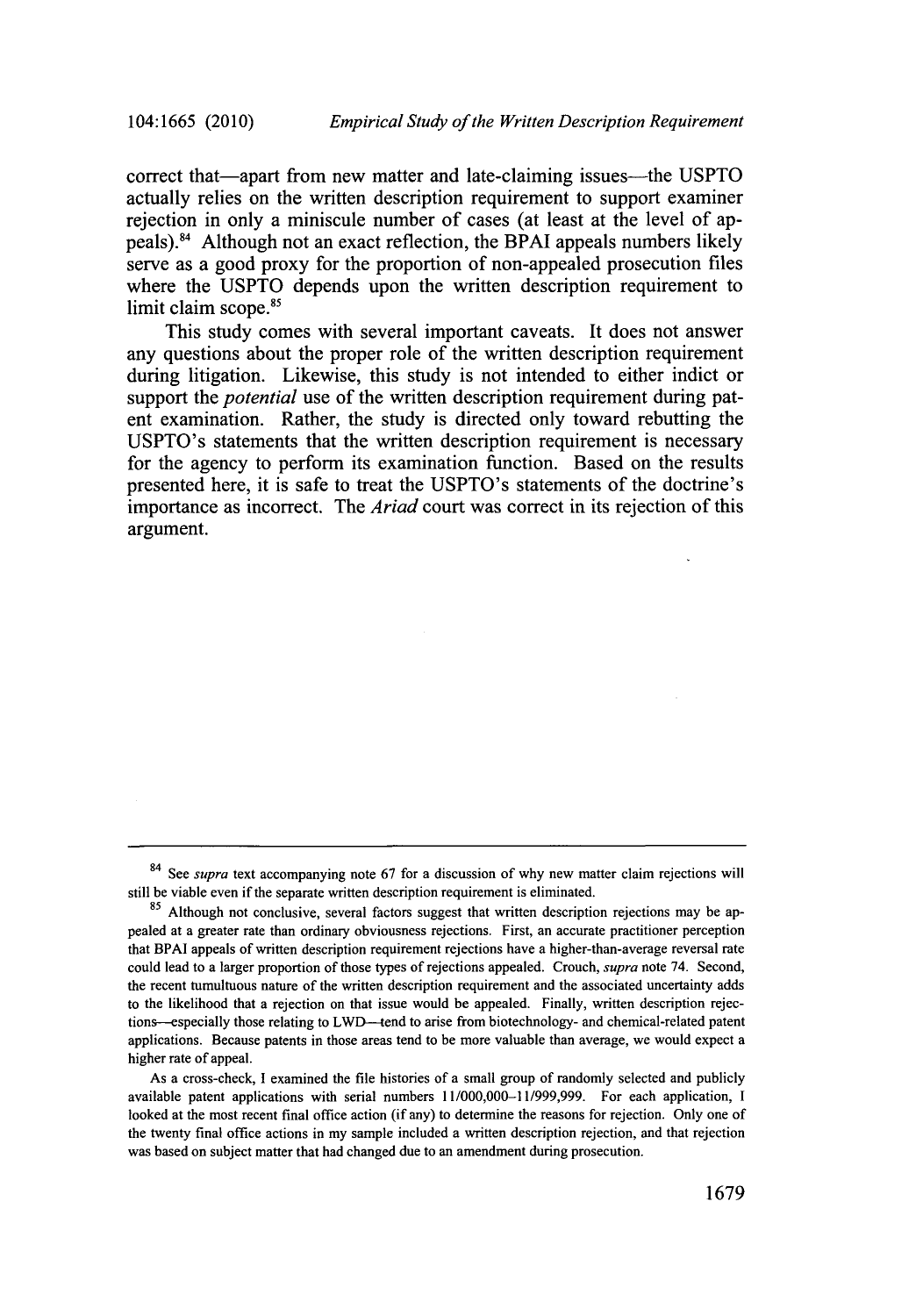correct that—apart from new matter and late-claiming issues—the USPTO actually relies on the written description requirement to support examiner rejection in only a miniscule number of cases (at least at the level of appeals).84 Although not an exact reflection, the BPAI appeals numbers likely serve as a good proxy for the proportion of non-appealed prosecution files where the **USPTO** depends upon the written description requirement to limit claim scope.<sup>85</sup>

This study comes with several important caveats. It does not answer any questions about the proper role of the written description requirement during litigation. Likewise, this study is not intended to either indict or support the *potential* use of the written description requirement during patent examination. Rather, the study is directed only toward rebutting the USPTO's statements that the written description requirement is necessary for the agency to perform its examination function. Based on the results presented here, it is safe to treat the USPTO's statements of the doctrine's importance as incorrect. The *Ariad* court was correct in its rejection of this argument.

<sup>84</sup>*See supra* text accompanying note **67** for a discussion of why new matter claim rejections will still be viable even if the separate written description requirement is eliminated.

**<sup>85</sup>** Although not conclusive, several factors suggest that written description rejections may be appealed at a greater rate than ordinary obviousness rejections. First, an accurate practitioner perception that BPAI appeals of written description requirement rejections have a higher-than-average reversal rate could lead to a larger proportion of those types of rejections appealed. Crouch, *supra* note 74. Second, the recent tumultuous nature of the written description requirement and the associated uncertainty adds to the likelihood that a rejection on that issue would be appealed. Finally, written description rejections-especially those relating to LWD-tend to arise from biotechnology- and chemical-related patent applications. Because patents in those areas tend to be more valuable than average, we would expect a higher rate of appeal.

As a cross-check, **I** examined the file histories of a small group of randomly selected and publicly available patent applications with serial numbers **11/000,000-11/999,999.** For each application, **I** looked at the most recent final office action (if any) to determine the reasons for rejection. Only one of the twenty final office actions in my sample included a written description rejection, and that rejection was based on subject matter that had changed due to an amendment during prosecution.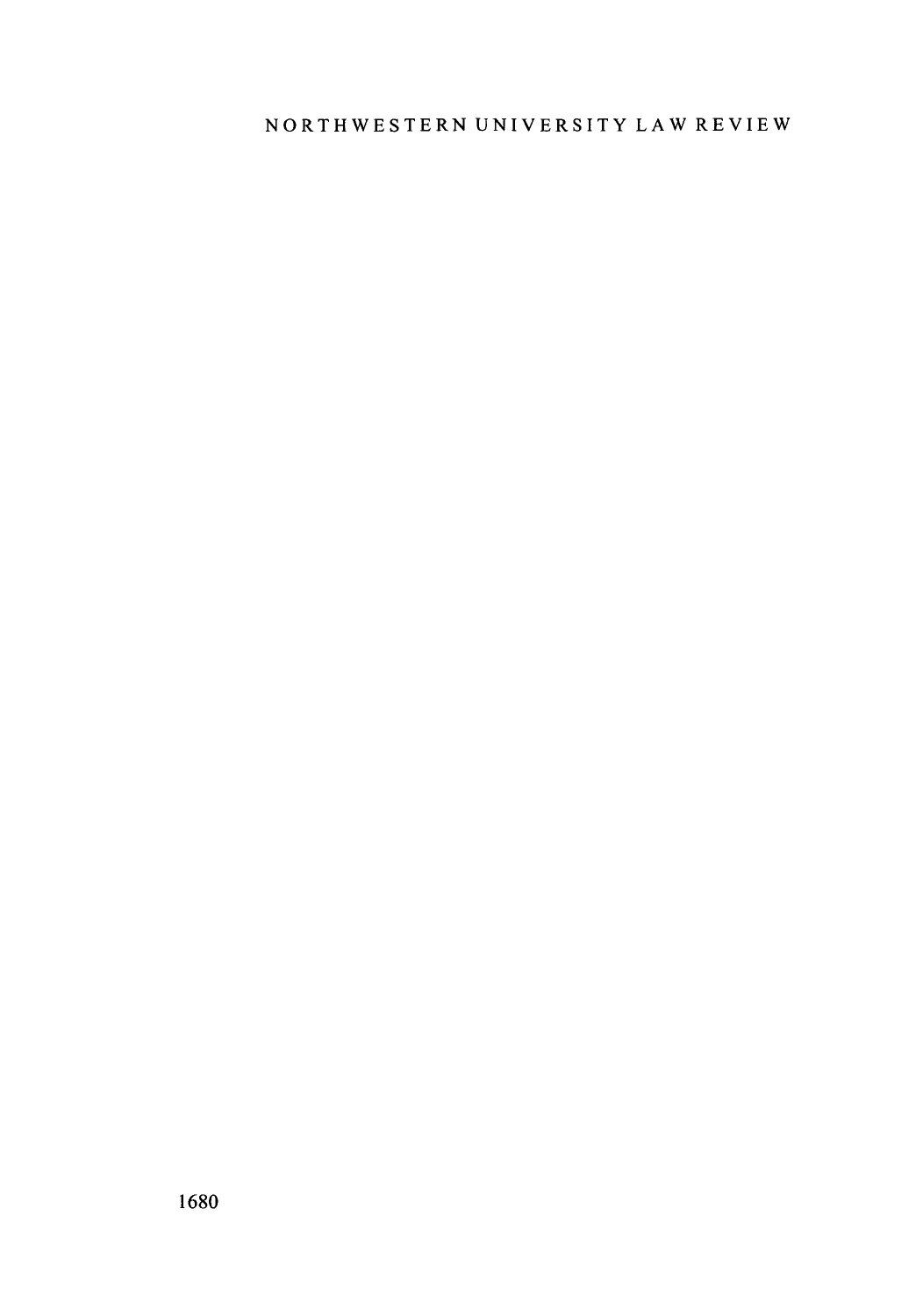### NORTHWESTERN UNIVERSITY LAW REVIEW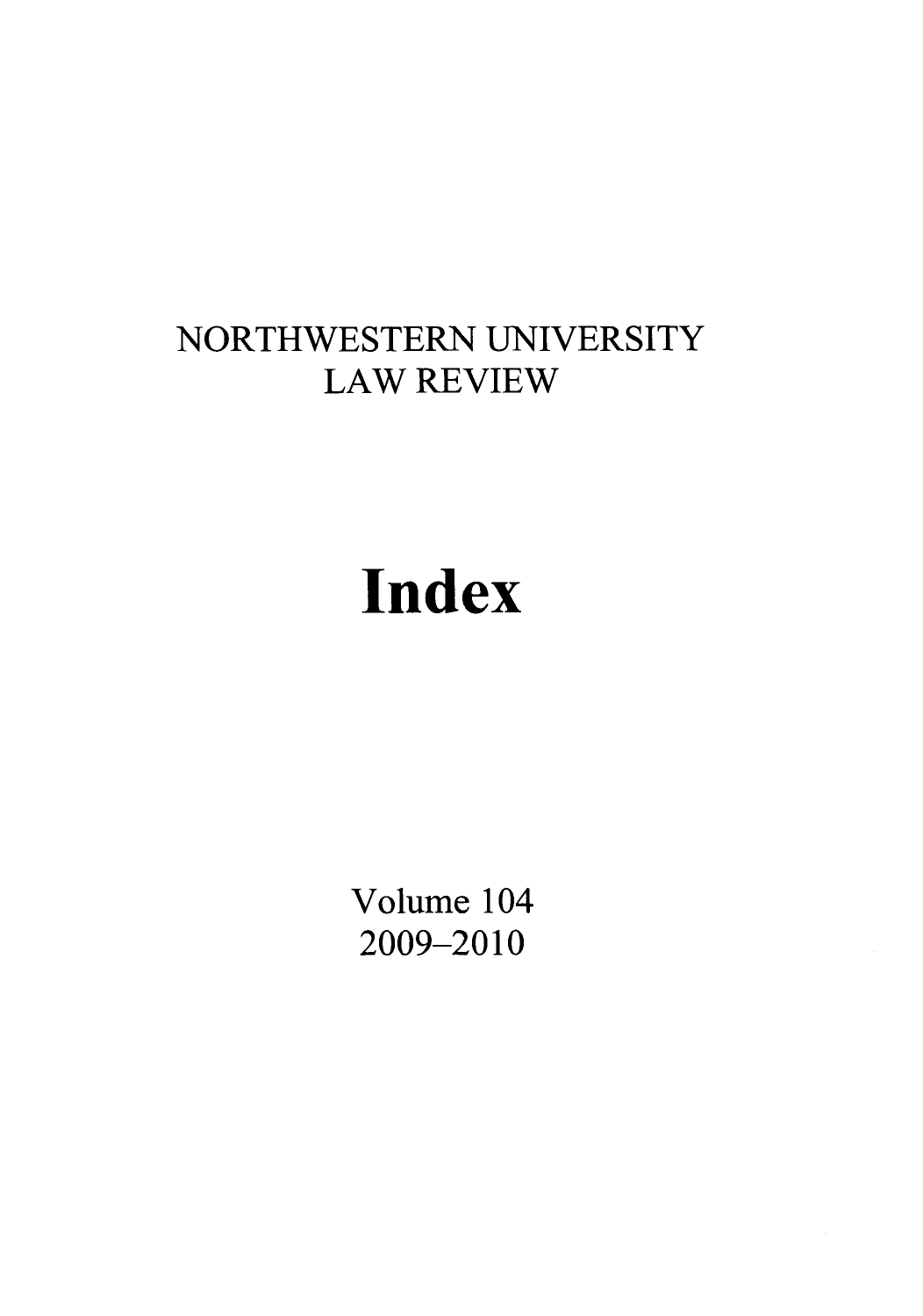# NORTHWESTERN **UNIVERSITY** LAW REVIEW

# Index

Volume 104 **2009-2010**